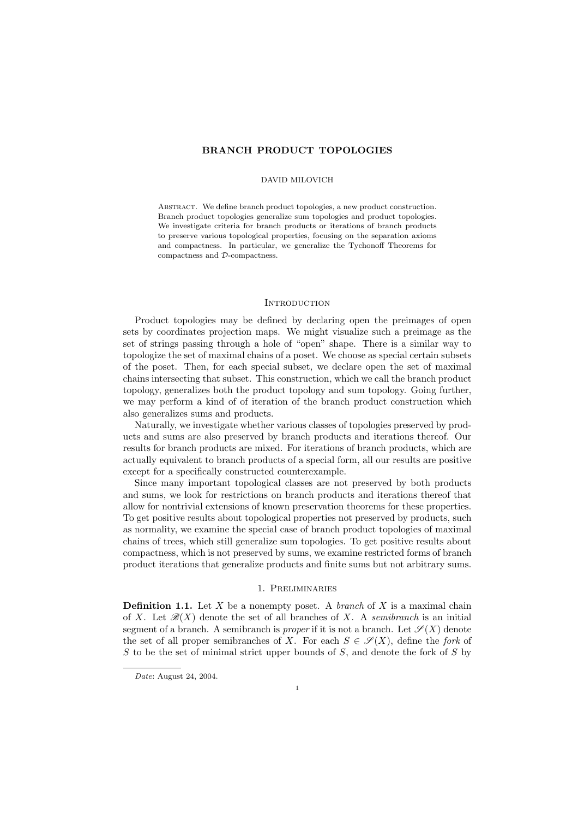# BRANCH PRODUCT TOPOLOGIES

#### DAVID MILOVICH

ABSTRACT. We define branch product topologies, a new product construction. Branch product topologies generalize sum topologies and product topologies. We investigate criteria for branch products or iterations of branch products to preserve various topological properties, focusing on the separation axioms and compactness. In particular, we generalize the Tychonoff Theorems for compactness and D-compactness.

# **INTRODUCTION**

Product topologies may be defined by declaring open the preimages of open sets by coordinates projection maps. We might visualize such a preimage as the set of strings passing through a hole of "open" shape. There is a similar way to topologize the set of maximal chains of a poset. We choose as special certain subsets of the poset. Then, for each special subset, we declare open the set of maximal chains intersecting that subset. This construction, which we call the branch product topology, generalizes both the product topology and sum topology. Going further, we may perform a kind of of iteration of the branch product construction which also generalizes sums and products.

Naturally, we investigate whether various classes of topologies preserved by products and sums are also preserved by branch products and iterations thereof. Our results for branch products are mixed. For iterations of branch products, which are actually equivalent to branch products of a special form, all our results are positive except for a specifically constructed counterexample.

Since many important topological classes are not preserved by both products and sums, we look for restrictions on branch products and iterations thereof that allow for nontrivial extensions of known preservation theorems for these properties. To get positive results about topological properties not preserved by products, such as normality, we examine the special case of branch product topologies of maximal chains of trees, which still generalize sum topologies. To get positive results about compactness, which is not preserved by sums, we examine restricted forms of branch product iterations that generalize products and finite sums but not arbitrary sums.

#### 1. Preliminaries

**Definition 1.1.** Let X be a nonempty poset. A *branch* of X is a maximal chain of X. Let  $\mathscr{B}(X)$  denote the set of all branches of X. A semibranch is an initial segment of a branch. A semibranch is *proper* if it is not a branch. Let  $\mathscr{S}(X)$  denote the set of all proper semibranches of X. For each  $S \in \mathscr{S}(X)$ , define the *fork* of  $S$  to be the set of minimal strict upper bounds of  $S$ , and denote the fork of  $S$  by

Date: August 24, 2004.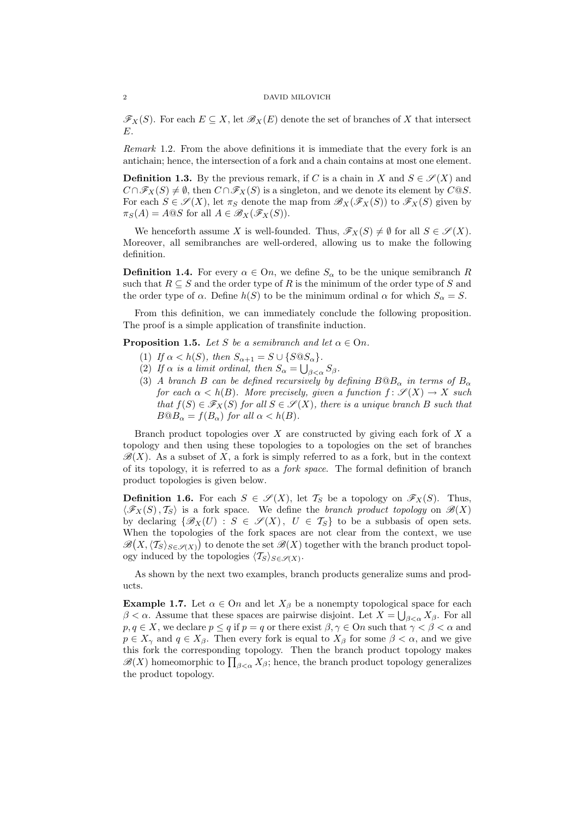$\mathscr{F}_X(S)$ . For each  $E \subseteq X$ , let  $\mathscr{B}_X(E)$  denote the set of branches of X that intersect  $E$ .

Remark 1.2. From the above definitions it is immediate that the every fork is an antichain; hence, the intersection of a fork and a chain contains at most one element.

**Definition 1.3.** By the previous remark, if C is a chain in X and  $S \in \mathcal{S}(X)$  and  $C \cap \mathscr{F}_X(S) \neq \emptyset$ , then  $C \cap \mathscr{F}_X(S)$  is a singleton, and we denote its element by  $C \mathbb{Q}S$ . For each  $S \in \mathscr{S}(X)$ , let  $\pi_S$  denote the map from  $\mathscr{B}_X(\mathscr{F}_X(S))$  to  $\mathscr{F}_X(S)$  given by  $\pi_S(A) = A \text{@} S$  for all  $A \in \mathscr{B}_X(\mathscr{F}_X(S))$ .

We henceforth assume X is well-founded. Thus,  $\mathscr{F}_X(S) \neq \emptyset$  for all  $S \in \mathscr{S}(X)$ . Moreover, all semibranches are well-ordered, allowing us to make the following definition.

**Definition 1.4.** For every  $\alpha \in \Omega$ , we define  $S_{\alpha}$  to be the unique semibranch R such that  $R \subseteq S$  and the order type of R is the minimum of the order type of S and the order type of  $\alpha$ . Define  $h(S)$  to be the minimum ordinal  $\alpha$  for which  $S_{\alpha} = S$ .

From this definition, we can immediately conclude the following proposition. The proof is a simple application of transfinite induction.

**Proposition 1.5.** Let S be a semibranch and let  $\alpha \in \Omega$ .

- (1) If  $\alpha < h(S)$ , then  $S_{\alpha+1} = S \cup \{S \t S_{\alpha}\}.$
- (2) If  $\alpha$  is a limit ordinal, then  $S_{\alpha} = \bigcup_{\beta < \alpha} S_{\beta}$ .
- (3) A branch B can be defined recursively by defining  $B@B<sub>\alpha</sub>$  in terms of  $B<sub>\alpha</sub>$ for each  $\alpha < h(B)$ . More precisely, given a function  $f: \mathscr{S}(X) \to X$  such that  $f(S) \in \mathscr{F}_X(S)$  for all  $S \in \mathscr{S}(X)$ , there is a unique branch B such that  $B@B_\alpha = f(B_\alpha)$  for all  $\alpha < h(B)$ .

Branch product topologies over  $X$  are constructed by giving each fork of  $X$  a topology and then using these topologies to a topologies on the set of branches  $\mathscr{B}(X)$ . As a subset of X, a fork is simply referred to as a fork, but in the context of its topology, it is referred to as a fork space. The formal definition of branch product topologies is given below.

**Definition 1.6.** For each  $S \in \mathscr{S}(X)$ , let  $\mathcal{T}_S$  be a topology on  $\mathscr{F}_X(S)$ . Thus,  $\langle \mathscr{F}_X(S), T_S \rangle$  is a fork space. We define the *branch product topology* on  $\mathscr{B}(X)$ by declaring  $\{\mathscr{B}_X(U) : S \in \mathscr{S}(X), U \in \mathcal{T}_S\}$  to be a subbasis of open sets. When the topologies of the fork spaces are not clear from the context, we use  $\mathscr{B}(X,\langle \mathcal{T}_S \rangle_{S \in \mathscr{S}(X)})$  to denote the set  $\mathscr{B}(X)$  together with the branch product topology induced by the topologies  $\langle T_S \rangle_{S \in \mathscr{S}(X)}$ .

As shown by the next two examples, branch products generalize sums and products.

Example 1.7. Let  $\alpha \in \Omega$  and let  $X_{\beta}$  be a nonempty topological space for each  $\beta < \alpha$ . Assume that these spaces are pairwise disjoint. Let  $X = \bigcup_{\beta < \alpha} X_{\beta}$ . For all  $p, q \in X$ , we declare  $p \leq q$  if  $p = q$  or there exist  $\beta, \gamma \in \Omega$  such that  $\gamma < \beta < \alpha$  and  $p \in X_{\gamma}$  and  $q \in X_{\beta}$ . Then every fork is equal to  $X_{\beta}$  for some  $\beta < \alpha$ , and we give this fork the corresponding topology. Then the branch product topology makes this fork the corresponding topology. Then the branch product topology makes  $\mathscr{B}(X)$  homeomorphic to  $\prod_{\beta<\alpha}X_{\beta}$ ; hence, the branch product topology generalizes the product topology.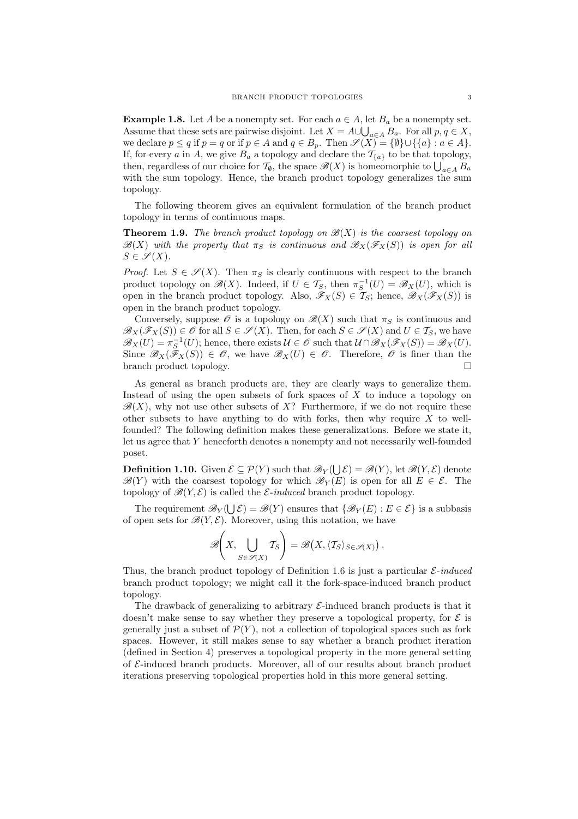Example 1.8. Let A be a nonempty set. For each  $a \in A$ , let  $B_a$  be a nonempty set. Assume that these sets are pairwise disjoint. Let  $X = A \cup \bigcup_{a \in A} B_a$ . For all  $p, q \in X$ , we declare  $p \leq q$  if  $p = q$  or if  $p \in A$  and  $q \in B_p$ . Then  $\mathscr{S}(X) = \{ \emptyset \} \cup \{ \{a\} : a \in A \}.$ If, for every a in A, we give  $B_a$  a topology and declare the  $\mathcal{T}_{\{a\}}$  to be that topology, 1, for every a in A, we give  $B_a$  a topology and declare the  $I_{\{a\}}$  to be that topology, then, regardless of our choice for  $\mathcal{T}_{\emptyset}$ , the space  $\mathscr{B}(X)$  is homeomorphic to  $\bigcup_{a \in A} B_a$ with the sum topology. Hence, the branch product topology generalizes the sum topology.

The following theorem gives an equivalent formulation of the branch product topology in terms of continuous maps.

**Theorem 1.9.** The branch product topology on  $\mathcal{B}(X)$  is the coarsest topology on  $\mathscr{B}(X)$  with the property that  $\pi_S$  is continuous and  $\mathscr{B}_X(\mathscr{F}_X(S))$  is open for all  $S \in \mathscr{S}(X)$ .

*Proof.* Let  $S \in \mathscr{S}(X)$ . Then  $\pi_S$  is clearly continuous with respect to the branch product topology on  $\mathscr{B}(X)$ . Indeed, if  $U \in \mathcal{T}_S$ , then  $\pi_S^{-1}(U) = \mathscr{B}_X(U)$ , which is open in the branch product topology. Also,  $\mathscr{F}_X(S) \in \mathcal{T}_S$ ; hence,  $\mathscr{B}_X(\mathscr{F}_X(S))$  is open in the branch product topology.

Conversely, suppose  $\mathscr O$  is a topology on  $\mathscr B(X)$  such that  $\pi_S$  is continuous and  $\mathscr{B}_X(\mathscr{F}_X(S)) \in \mathscr{O}$  for all  $S \in \mathscr{S}(X)$ . Then, for each  $S \in \mathscr{S}(X)$  and  $U \in \mathcal{T}_S$ , we have  $\mathscr{B}_X(U) = \pi_S^{-1}(U)$ ; hence, there exists  $\mathcal{U} \in \mathscr{O}$  such that  $\mathcal{U} \cap \mathscr{B}_X(\mathscr{F}_X(S)) = \mathscr{B}_X(U)$ . Since  $\mathscr{B}_X(\tilde{\mathscr{F}}_X(S)) \in \mathscr{O}$ , we have  $\mathscr{B}_X(U) \in \mathscr{O}$ . Therefore,  $\mathscr{O}$  is finer than the branch product topology.

As general as branch products are, they are clearly ways to generalize them. Instead of using the open subsets of fork spaces of  $X$  to induce a topology on  $\mathscr{B}(X)$ , why not use other subsets of X? Furthermore, if we do not require these other subsets to have anything to do with forks, then why require  $X$  to wellfounded? The following definition makes these generalizations. Before we state it, let us agree that Y henceforth denotes a nonempty and not necessarily well-founded poset.

**Definition 1.10.** Given  $\mathcal{E} \subseteq \mathcal{P}(Y)$  such that  $\mathscr{B}_Y(\bigcup \mathcal{E}) = \mathscr{B}(Y)$ , let  $\mathscr{B}(Y, \mathcal{E})$  denote  $\mathscr{B}(Y)$  with the coarsest topology for which  $\mathscr{B}_Y(E)$  is open for all  $E \in \mathcal{E}$ . The topology of  $\mathscr{B}(Y,\mathcal{E})$  is called the *E*-induced branch product topology.

The requirement  $\mathscr{B}_Y(\bigcup \mathcal{E}) = \mathscr{B}(Y)$  ensures that  $\{\mathscr{B}_Y(E) : E \in \mathcal{E}\}\)$  is a subbasis of open sets for  $\mathscr{B}(Y,\mathcal{E})$ . Moreover, using this notation, we have

$$
\mathscr{B}\left(X,\bigcup_{S\in\mathscr{S}(X)}T_S\right)=\mathscr{B}\left(X,\langle T_S\rangle_{S\in\mathscr{S}(X)}\right).
$$

Thus, the branch product topology of Definition 1.6 is just a particular  $\mathcal{E}\text{-}induced$ branch product topology; we might call it the fork-space-induced branch product topology.

The drawback of generalizing to arbitrary  $\mathcal{E}\text{-induced branch products}$  is that it doesn't make sense to say whether they preserve a topological property, for  $\mathcal E$  is generally just a subset of  $\mathcal{P}(Y)$ , not a collection of topological spaces such as fork spaces. However, it still makes sense to say whether a branch product iteration (defined in Section 4) preserves a topological property in the more general setting of  $\mathcal{E}$ -induced branch products. Moreover, all of our results about branch product iterations preserving topological properties hold in this more general setting.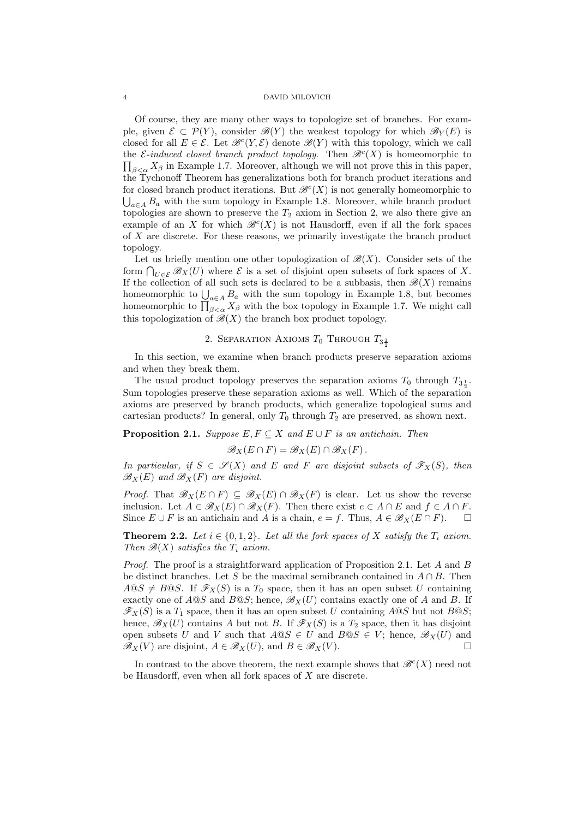Of course, they are many other ways to topologize set of branches. For example, given  $\mathcal{E} \subset \mathcal{P}(Y)$ , consider  $\mathscr{B}(Y)$  the weakest topology for which  $\mathscr{B}_Y(E)$  is closed for all  $E \in \mathcal{E}$ . Let  $\mathcal{B}^c(Y, \mathcal{E})$  denote  $\mathcal{B}(Y)$  with this topology, which we call the  $\mathcal{E}\text{-induced closed branch product topology. Then } \mathcal{B}^c(X)$  is homeomorphic to  $\prod_{\beta<\alpha}X_{\beta}$  in Example 1.7. Moreover, although we will not prove this in this paper, the Tychonoff Theorem has generalizations both for branch product iterations and for closed branch product iterations. But  $\mathscr{B}^c(X)$  is not generally homeomorphic to  $\bigcup_{a\in A} B_a$  with the sum topology in Example 1.8. Moreover, while branch product topologies are shown to preserve the  $T_2$  axiom in Section 2, we also there give an example of an X for which  $\mathcal{B}^c(X)$  is not Hausdorff, even if all the fork spaces of X are discrete. For these reasons, we primarily investigate the branch product topology.

Let us briefly mention one other topologization of  $\mathscr{B}(X)$ . Consider sets of the Let us brienly mention one other topologization of  $\mathcal{B}(X)$ . Consider sets of the form  $\bigcap_{U \in \mathcal{E}} \mathcal{B}_X(U)$  where  $\mathcal{E}$  is a set of disjoint open subsets of fork spaces of X. If the collection of all such sets is declared to be a subbasis, then  $\mathscr{B}(X)$  remains If the conection of an such sets is declared to be a subbasis, then  $\mathcal{B}(\Lambda)$  remains<br>homeomorphic to  $\bigcup_{a \in A} B_a$  with the sum topology in Example 1.8, but becomes homeomorphic to  $\bigcup_{a \in A} B_a$  with the sum topology in Example 1.8, but becomes<br>homeomorphic to  $\prod_{\beta < \alpha} X_\beta$  with the box topology in Example 1.7. We might call this topologization of  $\mathscr{B}(X)$  the branch box product topology.

# 2. SEPARATION AXIOMS  $T_0$  Through  $T_{3\frac{1}{2}}$

In this section, we examine when branch products preserve separation axioms and when they break them.

The usual product topology preserves the separation axioms  $T_0$  through  $T_{3\frac{1}{2}}$ . Sum topologies preserve these separation axioms as well. Which of the separation axioms are preserved by branch products, which generalize topological sums and cartesian products? In general, only  $T_0$  through  $T_2$  are preserved, as shown next.

**Proposition 2.1.** Suppose  $E, F \subseteq X$  and  $E \cup F$  is an antichain. Then

$$
\mathscr{B}_X(E \cap F) = \mathscr{B}_X(E) \cap \mathscr{B}_X(F).
$$

In particular, if  $S \in \mathscr{S}(X)$  and E and F are disjoint subsets of  $\mathscr{F}_X(S)$ , then  $\mathscr{B}_X(E)$  and  $\mathscr{B}_X(F)$  are disjoint.

*Proof.* That  $\mathscr{B}_X(E \cap F) \subseteq \mathscr{B}_X(E) \cap \mathscr{B}_X(F)$  is clear. Let us show the reverse inclusion. Let  $A \in \mathscr{B}_X(E) \cap \mathscr{B}_X(F)$ . Then there exist  $e \in A \cap E$  and  $f \in A \cap F$ . Since  $E \cup F$  is an antichain and A is a chain,  $e = f$ . Thus,  $A \in \mathscr{B}_X(E \cap F)$ .

**Theorem 2.2.** Let  $i \in \{0, 1, 2\}$ . Let all the fork spaces of X satisfy the  $T_i$  axiom. Then  $\mathscr{B}(X)$  satisfies the  $T_i$  axiom.

Proof. The proof is a straightforward application of Proposition 2.1. Let A and B be distinct branches. Let S be the maximal semibranch contained in  $A \cap B$ . Then  $A@S \neq B@S$ . If  $\mathscr{F}_X(S)$  is a  $T_0$  space, then it has an open subset U containing exactly one of  $A@S$  and  $B@S$ ; hence,  $\mathscr{B}_X(U)$  contains exactly one of A and B. If  $\mathscr{F}_X(S)$  is a  $T_1$  space, then it has an open subset U containing AQS but not BQS; hence,  $\mathscr{B}_X(U)$  contains A but not B. If  $\mathscr{F}_X(S)$  is a  $T_2$  space, then it has disjoint open subsets U and V such that  $A@S \in U$  and  $B@S \in V$ ; hence,  $\mathscr{B}_X(U)$  and  $\mathscr{B}_X(V)$  are disjoint,  $A \in \mathscr{B}_X(U)$ , and  $B \in \mathscr{B}_X(V)$ .

In contrast to the above theorem, the next example shows that  $\mathscr{B}^c(X)$  need not be Hausdorff, even when all fork spaces of X are discrete.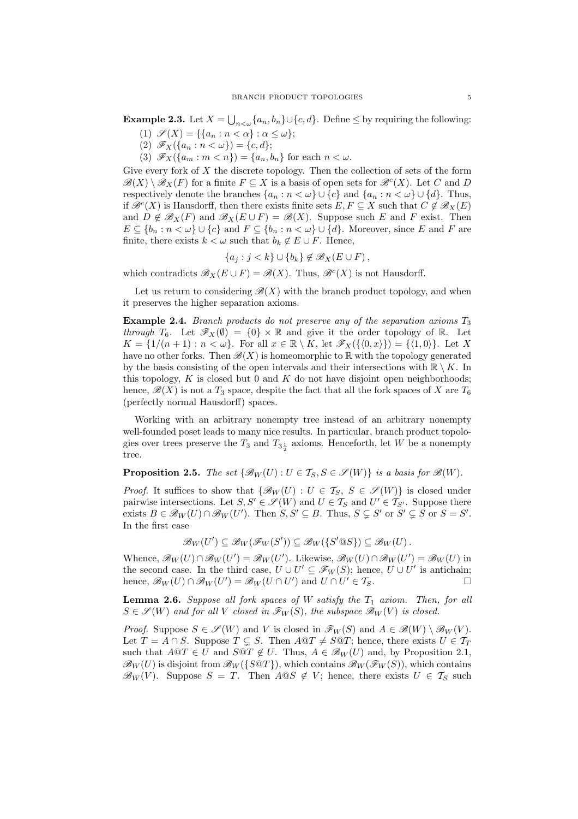**Example 2.3.** Let  $X = \bigcup_{n<\omega} \{a_n, b_n\} \cup \{c, d\}$ . Define  $\leq$  by requiring the following:

- (1)  $\mathscr{S}(X) = \{ \{a_n : n < \alpha \} : \alpha \leq \omega \};$
- (2)  $\mathscr{F}_X(\{a_n : n < \omega\}) = \{c, d\};$
- (3)  $\mathscr{F}_X(\{a_m : m < n\}) = \{a_n, b_n\}$  for each  $n < \omega$ .

Give every fork of  $X$  the discrete topology. Then the collection of sets of the form  $\mathscr{B}(X) \setminus \mathscr{B}_X(F)$  for a finite  $F \subseteq X$  is a basis of open sets for  $\mathscr{B}^c(X)$ . Let C and D respectively denote the branches  $\{a_n : n < \omega\} \cup \{c\}$  and  $\{a_n : n < \omega\} \cup \{d\}$ . Thus, if  $\mathscr{B}^c(X)$  is Hausdorff, then there exists finite sets  $E, F \subseteq X$  such that  $C \notin \mathscr{B}_X(E)$ and  $D \notin \mathscr{B}_X(F)$  and  $\mathscr{B}_X(E \cup F) = \mathscr{B}(X)$ . Suppose such E and F exist. Then  $E \subseteq \{b_n : n < \omega\} \cup \{c\}$  and  $F \subseteq \{b_n : n < \omega\} \cup \{d\}$ . Moreover, since E and F are finite, there exists  $k < \omega$  such that  $b_k \notin E \cup F$ . Hence,

$$
\{a_j : j < k\} \cup \{b_k\} \notin \mathscr{B}_X(E \cup F),
$$

which contradicts  $\mathscr{B}_X(E \cup F) = \mathscr{B}(X)$ . Thus,  $\mathscr{B}^c(X)$  is not Hausdorff.

Let us return to considering  $\mathscr{B}(X)$  with the branch product topology, and when it preserves the higher separation axioms.

**Example 2.4.** Branch products do not preserve any of the separation axioms  $T_3$ through  $T_6$ . Let  $\mathscr{F}_X(\emptyset) = \{0\} \times \mathbb{R}$  and give it the order topology of  $\mathbb{R}$ . Let  $K = \{1/(n+1) : n < \omega\}.$  For all  $x \in \mathbb{R} \setminus K$ , let  $\mathscr{F}_X(\{\langle 0, x \rangle\}) = \{\langle 1, 0 \rangle\}.$  Let X have no other forks. Then  $\mathscr{B}(X)$  is homeomorphic to R with the topology generated by the basis consisting of the open intervals and their intersections with  $\mathbb{R} \setminus K$ . In this topology,  $K$  is closed but 0 and  $K$  do not have disjoint open neighborhoods; hence,  $\mathscr{B}(X)$  is not a  $T_3$  space, despite the fact that all the fork spaces of X are  $T_6$ (perfectly normal Hausdorff) spaces.

Working with an arbitrary nonempty tree instead of an arbitrary nonempty well-founded poset leads to many nice results. In particular, branch product topologies over trees preserve the  $T_3$  and  $T_{3\frac{1}{2}}$  axioms. Henceforth, let W be a nonempty tree.

**Proposition 2.5.** The set  $\{\mathscr{B}_W(U): U \in \mathcal{T}_S, S \in \mathscr{S}(W)\}\$ is a basis for  $\mathscr{B}(W)$ .

*Proof.* It suffices to show that  $\{\mathscr{B}_W(U) : U \in \mathcal{T}_S, S \in \mathscr{S}(W)\}\)$  is closed under pairwise intersections. Let  $S, S' \in \mathscr{S}(W)$  and  $U \in \mathcal{T}_S$  and  $U' \in \mathcal{T}_{S'}$ . Suppose there exists  $B \in \mathscr{B}_W(U) \cap \mathscr{B}_W(U')$ . Then  $S, S' \subseteq B$ . Thus,  $S \subsetneq S'$  or  $S' \subsetneq S$  or  $S = S'$ . In the first case

$$
\mathscr{B}_W(U') \subseteq \mathscr{B}_W(\mathscr{F}_W(S')) \subseteq \mathscr{B}_W(\{S' @ S\}) \subseteq \mathscr{B}_W(U).
$$

Whence,  $\mathscr{B}_W(U) \cap \mathscr{B}_W(U') = \mathscr{B}_W(U')$ . Likewise,  $\mathscr{B}_W(U) \cap \mathscr{B}_W(U') = \mathscr{B}_W(U)$  in the second case. In the third case,  $U \cup U' \subseteq \mathscr{F}_W(S)$ ; hence,  $U \cup U'$  is antichain; hence,  $\mathscr{B}_W(U) \cap \mathscr{B}_W(U') = \mathscr{B}_W(U \cap U')$  and  $U \cap U' \in \mathcal{T}_S$ .

**Lemma 2.6.** Suppose all fork spaces of W satisfy the  $T_1$  axiom. Then, for all  $S \in \mathscr{S}(W)$  and for all V closed in  $\mathscr{F}_W(S)$ , the subspace  $\mathscr{B}_W(V)$  is closed.

*Proof.* Suppose  $S \in \mathscr{S}(W)$  and V is closed in  $\mathscr{F}_W(S)$  and  $A \in \mathscr{B}(W) \setminus \mathscr{B}_W(V)$ . Let  $T = A \cap S$ . Suppose  $T \subseteq S$ . Then  $A@T \neq S@T$ ; hence, there exists  $U \in T_T$ such that  $A@T \in U$  and  $S@T \notin U$ . Thus,  $A \in \mathcal{B}_W(U)$  and, by Proposition 2.1,  $\mathscr{B}_W(U)$  is disjoint from  $\mathscr{B}_W(\{S\otimes T\})$ , which contains  $\mathscr{B}_W(\mathscr{F}_W(S))$ , which contains  $\mathcal{B}_W(V)$ . Suppose  $S = T$ . Then  $A@S \notin V$ ; hence, there exists  $U \in \mathcal{T}_S$  such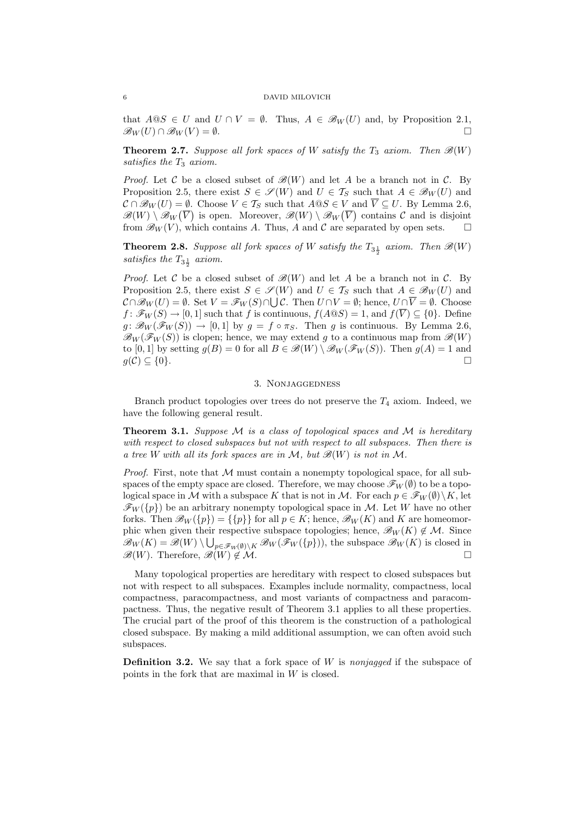that  $A@S \in U$  and  $U \cap V = \emptyset$ . Thus,  $A \in \mathcal{B}_W(U)$  and, by Proposition 2.1,  $\mathscr{B}_W(U) \cap \mathscr{B}_W(V) = \emptyset.$ 

**Theorem 2.7.** Suppose all fork spaces of W satisfy the  $T_3$  axiom. Then  $\mathscr{B}(W)$ satisfies the  $T_3$  axiom.

*Proof.* Let C be a closed subset of  $\mathcal{B}(W)$  and let A be a branch not in C. By Proposition 2.5, there exist  $S \in \mathscr{S}(W)$  and  $U \in \mathcal{T}_S$  such that  $A \in \mathscr{B}_W(U)$  and  $\mathcal{C} \cap \mathcal{B}_W(U) = \emptyset$ . Choose  $V \in \mathcal{T}_S$  such that  $A \otimes S \in V$  and  $\overline{V} \subseteq U$ . By Lemma 2.6,  $\mathscr{B}(W) \setminus \mathscr{B}_W(\overline{V})$  is open. Moreover,  $\mathscr{B}(W) \setminus \mathscr{B}_W(\overline{V})$  contains C and is disjoint from  $\mathcal{B}_W(V)$ , which contains A. Thus, A and C are separated by open sets.  $\Box$ 

**Theorem 2.8.** Suppose all fork spaces of W satisfy the  $T_{3\frac{1}{2}}$  axiom. Then  $\mathscr{B}(W)$ satisfies the  $T_{3\frac{1}{2}}$  axiom.

*Proof.* Let C be a closed subset of  $\mathcal{B}(W)$  and let A be a branch not in C. By Proposition 2.5, there exist  $S \in \mathscr{S}(W)$  and  $U \in \mathcal{T}_S$  such that  $A \in \mathscr{B}_W(U)$  and  $\mathcal{C} \cap \mathscr{B}_W(U) = \emptyset$ . Set  $V = \mathscr{F}_W(S) \cap \bigcup \mathcal{C}$ . Then  $U \cap V = \emptyset$ ; hence,  $U \cap \overline{V} = \emptyset$ . Choose  $f: \mathscr{F}_W(S) \to [0, 1]$  such that f is continuous,  $f(A \otimes S) = 1$ , and  $f(\overline{V}) \subseteq \{0\}$ . Define  $g: \mathscr{B}_W(\mathscr{F}_W(S)) \to [0,1]$  by  $g = f \circ \pi_S$ . Then g is continuous. By Lemma 2.6,  $\mathscr{B}_W(\mathscr{F}_W(S))$  is clopen; hence, we may extend g to a continuous map from  $\mathscr{B}(W)$ to [0, 1] by setting  $g(B) = 0$  for all  $B \in \mathscr{B}(W) \setminus \mathscr{B}_W(\mathscr{F}_W(S))$ . Then  $g(A) = 1$  and  $g(\mathcal{C}) \subseteq \{0\}.$ 

# 3. Nonjaggedness

Branch product topologies over trees do not preserve the  $T_4$  axiom. Indeed, we have the following general result.

**Theorem 3.1.** Suppose  $M$  is a class of topological spaces and  $M$  is hereditary with respect to closed subspaces but not with respect to all subspaces. Then there is a tree W with all its fork spaces are in M, but  $\mathscr{B}(W)$  is not in M.

*Proof.* First, note that  $M$  must contain a nonempty topological space, for all subspaces of the empty space are closed. Therefore, we may choose  $\mathscr{F}_W(\emptyset)$  to be a topological space in M with a subspace K that is not in M. For each  $p \in \mathscr{F}_W(\emptyset) \backslash K$ , let  $\mathscr{F}_W({p})$  be an arbitrary nonempty topological space in M. Let W have no other forks. Then  $\mathscr{B}_W({p}) = {\{p\}}$  for all  $p \in K$ ; hence,  $\mathscr{B}_W(K)$  and K are homeomorphic when given their respective subspace topologies; hence,  $\mathscr{B}_W(K) \notin \mathcal{M}$ . Since  $\mathscr{B}_W(K) = \mathscr{B}(W) \setminus \bigcup_{p \in \mathscr{F}_W(\emptyset) \setminus K} \mathscr{B}_W(\mathscr{F}_W(\{p\})),$  the subspace  $\mathscr{B}_W(K)$  is closed in  $\mathscr{B}(W)$ . Therefore,  $\mathscr{B}(W) \notin \mathcal{M}$ .

Many topological properties are hereditary with respect to closed subspaces but not with respect to all subspaces. Examples include normality, compactness, local compactness, paracompactness, and most variants of compactness and paracompactness. Thus, the negative result of Theorem 3.1 applies to all these properties. The crucial part of the proof of this theorem is the construction of a pathological closed subspace. By making a mild additional assumption, we can often avoid such subspaces.

**Definition 3.2.** We say that a fork space of W is nonjagged if the subspace of points in the fork that are maximal in W is closed.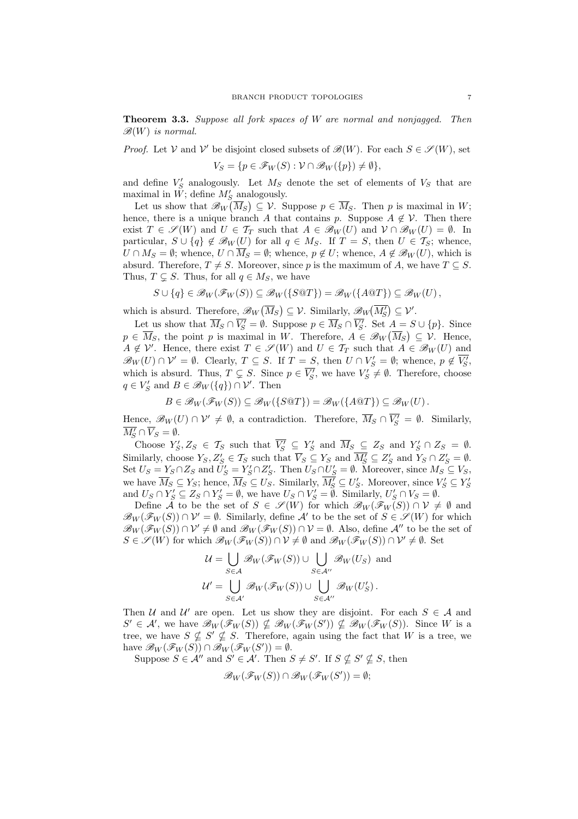Theorem 3.3. Suppose all fork spaces of W are normal and nonjagged. Then  $\mathscr{B}(W)$  is normal.

*Proof.* Let V and V' be disjoint closed subsets of  $\mathscr{B}(W)$ . For each  $S \in \mathscr{S}(W)$ , set

$$
V_S = \{ p \in \mathscr{F}_W(S) : \mathcal{V} \cap \mathscr{B}_W(\{p\}) \neq \emptyset \},\
$$

and define  $V'_S$  analogously. Let  $M_S$  denote the set of elements of  $V_S$  that are maximal in  $\tilde{W}$ ; define  $M'_S$  analogously.

Let us show that  $\mathscr{B}_W(\overline{M}_S) \subseteq \mathcal{V}$ . Suppose  $p \in \overline{M}_S$ . Then p is maximal in W; hence, there is a unique branch A that contains p. Suppose  $A \notin V$ . Then there exist  $T \in \mathscr{S}(W)$  and  $U \in \mathcal{T}_T$  such that  $A \in \mathscr{B}_W(U)$  and  $\mathcal{V} \cap \mathscr{B}_W(U) = \emptyset$ . In particular,  $S \cup \{q\} \notin \mathcal{B}_W(U)$  for all  $q \in M_S$ . If  $T = S$ , then  $U \in \mathcal{T}_S$ ; whence,  $U \cap M_S = \emptyset$ ; whence,  $U \cap \overline{M}_S = \emptyset$ ; whence,  $p \notin U$ ; whence,  $A \notin \mathscr{B}_W(U)$ , which is absurd. Therefore,  $T \neq S$ . Moreover, since p is the maximum of A, we have  $T \subseteq S$ . Thus,  $T \subsetneq S$ . Thus, for all  $q \in M_S$ , we have

$$
S \cup \{q\} \in \mathscr{B}_W(\mathscr{F}_W(S)) \subseteq \mathscr{B}_W(\{S@T\}) = \mathscr{B}_W(\{A@T\}) \subseteq \mathscr{B}_W(U),
$$

which is absurd. Therefore,  $\mathscr{B}_W$ ¡  $\overline{M}_S$ ∫<br>∖  $\subseteq \mathcal{V}$ . Similarly,  $\mathscr{B}_W$  $\frac{1}{\sqrt{M_S^2}}$  $\stackrel{\circ}{)}\subseteq{\cal V}'.$ 

Let us show that  $\overline{M}_S \cap \overline{V'_S} = \emptyset$ . Suppose  $p \in \overline{M}_S \cap \overline{V'_S}$ . Set  $A = S \cup \{p\}$ . Since  $p \in \overline{M}_S$ , the point p is maximal in W. Therefore,  $A \in \mathscr{B}_W(\overline{M}_S) \subseteq \mathcal{V}$ . Hence,  $A \notin \mathcal{V}'$ . Hence, there exist  $T \in \mathscr{S}(W)$  and  $U \in \mathcal{T}_T$  such that  $A \in \mathscr{B}_W(U)$  and  $\mathscr{B}_W(U) \cap \mathcal{V}' = \emptyset$ . Clearly,  $T \subseteq S$ . If  $T = S$ , then  $U \cap V'_S = \emptyset$ ; whence,  $p \notin \overline{V'_S}$ , which is absurd. Thus,  $T \subsetneq S$ . Since  $p \in \overline{V'_S}$ , we have  $V'_S \neq \emptyset$ . Therefore, choose  $q \in V_S'$  and  $B \in \mathcal{B}_W(\lbrace q \rbrace) \cap \mathcal{V}'$ . Then

$$
B \in \mathscr{B}_W(\mathscr{F}_W(S)) \subseteq \mathscr{B}_W(\{S@T\}) = \mathscr{B}_W(\{A@T\}) \subseteq \mathscr{B}_W(U).
$$

Hence,  $\mathscr{B}_W(U) \cap \mathcal{V}' \neq \emptyset$ , a contradiction. Therefore,  $\overline{M}_S \cap \overline{V'_S} = \emptyset$ . Similarly,  $\overline{M_S'} \cap \overline{V}_S = \emptyset.$ 

Choose  $Y'_S, Z_S \in \mathcal{T}_S$  such that  $\overline{V'_S} \subseteq Y'_S$  and  $\overline{M}_S \subseteq Z_S$  and  $Y'_S \cap Z_S = \emptyset$ . Similarly, choose  $Y_S, Z'_S \in \mathcal{T}_S$  such that  $\overline{V}_S \subseteq Y_S$  and  $\overline{M'_S} \subseteq Z'_S$  and  $Y_S \cap Z'_S = \emptyset$ . Set  $U_S = Y_S \cap Z_S$  and  $\tilde{U}'_S = Y'_S \cap Z'_S$ . Then  $U_S \cap U'_S = \emptyset$ . Moreover, since  $M_S \subseteq V_S$ , we have  $\overline{M}_S \subseteq Y_S$ ; hence,  $\overline{M}_S \subseteq U_S$ . Similarly,  $\overline{M}'_S \subseteq U'_S$ . Moreover, since  $V'_S \subseteq Y'_S$ and  $U_S \cap Y'_S \subseteq Z_S \cap Y'_S = \emptyset$ , we have  $U_S \cap V'_S = \emptyset$ . Similarly,  $U'_S \cap V_S = \emptyset$ .

Define  $\tilde{\mathcal{A}}$  to be the set of  $S \in \mathscr{S}(W)$  for which  $\mathscr{B}_W(\mathscr{F}_W(S)) \cap \mathcal{V} \neq \emptyset$  and  $\mathscr{B}_W(\mathscr{F}_W(S)) \cap \mathcal{V}' = \emptyset$ . Similarly, define  $\mathcal{A}'$  to be the set of  $S \in \mathscr{S}(W)$  for which  $\mathcal{B}_W(\mathcal{F}_W(S)) \cap \mathcal{V}' \neq \emptyset$  and  $\mathcal{B}_W(\mathcal{F}_W(S)) \cap \mathcal{V} = \emptyset$ . Also, define A'' to be the set of  $S \in \mathscr{S}(W)$  for which  $\mathscr{B}_W(\mathscr{F}_W(S)) \cap \mathcal{V} \neq \emptyset$  and  $\mathscr{B}_W(\mathscr{F}_W(S)) \cap \mathcal{V}' \neq \emptyset$ . Set

$$
\mathcal{U} = \bigcup_{S \in \mathcal{A}} \mathscr{B}_{W}(\mathscr{F}_{W}(S)) \cup \bigcup_{S \in \mathcal{A}''} \mathscr{B}_{W}(U_{S}) \text{ and}
$$

$$
\mathcal{U}' = \bigcup_{S \in \mathcal{A}'} \mathscr{B}_{W}(\mathscr{F}_{W}(S)) \cup \bigcup_{S \in \mathcal{A}''} \mathscr{B}_{W}(U'_{S}).
$$

Then U and U' are open. Let us show they are disjoint. For each  $S \in \mathcal{A}$  and  $S' \in \mathcal{A}'$ , we have  $\mathscr{B}_W(\mathscr{F}_W(S)) \nsubseteq \mathscr{B}_W(\mathscr{F}_W(S')) \nsubseteq \mathscr{B}_W(\mathscr{F}_W(S))$ . Since W is a tree, we have  $S \nsubseteq S' \nsubseteq S$ . Therefore, again using the fact that W is a tree, we have  $\mathscr{B}_W(\mathscr{F}_W(S)) \cap \mathscr{B}_W(\mathscr{F}_W(S')) = \emptyset$ .

Suppose  $S \in \mathcal{A}''$  and  $S' \in \mathcal{A}'$ . Then  $S \neq S'$ . If  $S \nsubseteq S' \nsubseteq S$ , then

$$
\mathscr{B}_W(\mathscr{F}_W(S)) \cap \mathscr{B}_W(\mathscr{F}_W(S')) = \emptyset;
$$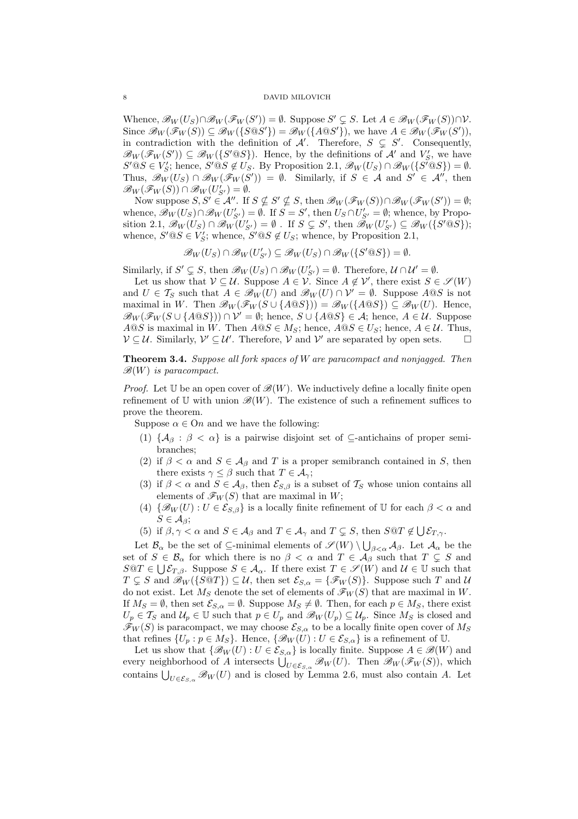Whence,  $\mathscr{B}_W(U_S) \cap \mathscr{B}_W(\mathscr{F}_W(S')) = \emptyset$ . Suppose  $S' \subsetneq S$ . Let  $A \in \mathscr{B}_W(\mathscr{F}_W(S)) \cap \mathcal{V}$ . Since  $\mathscr{B}_W(\mathscr{F}_W(S)) \subseteq \mathscr{B}_W(\{S \otimes S'\}) = \mathscr{B}_W(\{A \otimes S'\}),$  we have  $A \in \mathscr{B}_W(\mathscr{F}_W(S'))$ , in contradiction with the definition of A'. Therefore,  $S \subseteq S'$ . Consequently,  $\mathscr{B}_W(\mathscr{F}_W(S')) \subseteq \mathscr{B}_W(\lbrace S' \t0S \rbrace)$ . Hence, by the definitions of  $\mathcal{A}'$  and  $V'_{S}$ , we have  $S' @ S \in V_S'; \text{ hence, } S' @ S \notin U_S. \text{ By Proposition 2.1, } \mathscr{B}_W(U_S) \cap \mathscr{B}_W(\lbrace S^T @ S \rbrace) = \emptyset.$ Thus,  $\mathscr{B}_W(U_S) \cap \mathscr{B}_W(\mathscr{F}_W(S')) = \emptyset$ . Similarly, if  $S \in \mathcal{A}$  and  $S' \in \mathcal{A}''$ , then  $\mathscr{B}_W(\mathscr{F}_W(S)) \cap \mathscr{B}_W(U'_{S'}) = \emptyset.$ 

Now suppose  $S, S' \in \mathcal{A}''$ . If  $S \nsubseteq S' \nsubseteq S$ , then  $\mathscr{B}_W(\mathscr{F}_W(S)) \cap \mathscr{B}_W(\mathscr{F}_W(S')) = \emptyset$ ; whence,  $\mathscr{B}_W(U_S) \cap \mathscr{B}_W(U'_{S'}) = \emptyset$ . If  $S = S'$ , then  $U_S \cap U'_{S'} = \emptyset$ ; whence, by Proposition 2.1,  $\mathscr{B}_W(U_S) \cap \mathscr{B}_W(U'_{S'}) = \emptyset$ . If  $S \subsetneq S'$ , then  $\mathscr{B}_W(U'_{S'}) \subseteq \mathscr{B}_W(\lbrace S' \t0S \rbrace)$ ; whence,  $S' @ S \in V'_{S}$ ; whence,  $S' @ S \notin U_{S}$ ; whence, by Proposition 2.1,

$$
\mathscr{B}_W(U_S) \cap \mathscr{B}_W(U'_{S'}) \subseteq \mathscr{B}_W(U_S) \cap \mathscr{B}_W(\{S' @ S\}) = \emptyset.
$$

Similarly, if  $S' \subsetneq S$ , then  $\mathscr{B}_W(U_S) \cap \mathscr{B}_W(U'_{S'}) = \emptyset$ . Therefore,  $\mathcal{U} \cap \mathcal{U}' = \emptyset$ .

Let us show that  $V \subseteq U$ . Suppose  $A \in V$ . Since  $A \notin V'$ , there exist  $S \in \mathscr{S}(W)$ and  $U \in \mathcal{T}_S$  such that  $A \in \mathscr{B}_W(U)$  and  $\mathscr{B}_W(U) \cap \mathcal{V}' = \emptyset$ . Suppose  $A \circledcirc S$  is not maximal in W. Then  $\mathscr{B}_W(\mathscr{F}_W(S \cup \{A \otimes S\})) = \mathscr{B}_W(\{A \otimes S\}) \subseteq \mathscr{B}_W(U)$ . Hence,  $\mathcal{B}_W(\mathcal{F}_W(S \cup \{A \t\mathcal{Q} S\})) \cap \mathcal{V}' = \emptyset$ ; hence,  $S \cup \{A \t\mathcal{Q} S\} \in \mathcal{A}$ ; hence,  $A \in \mathcal{U}$ . Suppose  $A@S$  is maximal in W. Then  $A@S \in M_S$ ; hence,  $A@S \in U_S$ ; hence,  $A \in \mathcal{U}$ . Thus,  $V \subseteq U$ . Similarly,  $V' \subseteq U'$ . Therefore, V and V' are separated by open sets.  $\Box$ 

Theorem 3.4. Suppose all fork spaces of W are paracompact and nonjagged. Then  $\mathscr{B}(W)$  is paracompact.

*Proof.* Let U be an open cover of  $\mathscr{B}(W)$ . We inductively define a locally finite open refinement of U with union  $\mathscr{B}(W)$ . The existence of such a refinement suffices to prove the theorem.

Suppose  $\alpha \in \Omega$  and we have the following:

- (1)  $\{\mathcal{A}_{\beta} : \beta < \alpha\}$  is a pairwise disjoint set of  $\subseteq$ -antichains of proper semibranches;
- (2) if  $\beta < \alpha$  and  $S \in A_{\beta}$  and T is a proper semibranch contained in S, then there exists  $\gamma \leq \beta$  such that  $T \in \mathcal{A}_{\gamma}$ ;
- (3) if  $\beta < \alpha$  and  $S \in A_{\beta}$ , then  $\mathcal{E}_{S,\beta}$  is a subset of  $\mathcal{T}_S$  whose union contains all elements of  $\mathscr{F}_W(S)$  that are maximal in W;
- (4)  $\{\mathscr{B}_W(U): U \in \mathcal{E}_{S,\beta}\}\$ is a locally finite refinement of U for each  $\beta < \alpha$  and  $S \in \mathcal{A}_{\beta};$
- (5) if  $\beta, \gamma < \alpha$  and  $S \in A_{\beta}$  and  $T \in A_{\gamma}$  and  $T \subsetneq S$ , then  $S \otimes T \notin \bigcup \mathcal{E}_{T,\gamma}$ .

Let  $\mathcal{B}_\alpha$  be the set of  $\subseteq$ -minimal elements of  $\mathscr{S}(W) \setminus \bigcup_{\beta<\alpha} \mathcal{A}_\beta$ . Let  $\mathcal{A}_\alpha$  be the set of  $S \in \mathcal{B}_{\alpha}$  for which there is no  $\beta < \alpha$  and  $T \in \mathcal{A}_{\beta}$  such that  $T \subsetneq S$  and  $S@T \in \bigcup \mathcal{E}_{T,\beta}$ . Suppose  $S \in \mathcal{A}_{\alpha}$ . If there exist  $T \in \mathscr{S}(W)$  and  $\mathcal{U} \in \mathbb{U}$  such that  $T \subseteq S$  and  $\mathscr{B}_W(\{S@T\}) \subseteq \mathcal{U}$ , then set  $\mathcal{E}_{S,\alpha} = {\{\mathscr{F}_W(S)\}}$ . Suppose such T and U do not exist. Let  $M_S$  denote the set of elements of  $\mathscr{F}_W(S)$  that are maximal in W. If  $M_S = \emptyset$ , then set  $\mathcal{E}_{S,\alpha} = \emptyset$ . Suppose  $M_S \neq \emptyset$ . Then, for each  $p \in M_S$ , there exist  $U_p \in \mathcal{T}_S$  and  $\mathcal{U}_p \in \mathbb{U}$  such that  $p \in U_p$  and  $\mathscr{B}_W(U_p) \subseteq \mathcal{U}_p$ . Since  $M_S$  is closed and  $\mathscr{F}_W(S)$  is paracompact, we may choose  $\mathcal{E}_{S,\alpha}$  to be a locally finite open cover of  $M_S$ that refines  $\{U_p : p \in M_S\}$ . Hence,  $\{\mathscr{B}_W(U) : U \in \mathcal{E}_{S,\alpha}\}\$ is a refinement of U.

Let us show that  $\{\mathscr{B}_W(U): U \in \mathcal{E}_{S,\alpha}\}\$ is locally finite. Suppose  $A \in \mathscr{B}(W)$  and Let us show that  $\{ \mathcal{B}_W(U) : U \in \mathcal{E}_{S,\alpha} \}$  is locally limite. Suppose  $A \in \mathcal{B}(W)$  and<br>every neighborhood of A intersects  $\bigcup_{U \in \mathcal{E}_{S,\alpha}} \mathcal{B}_W(U)$ . Then  $\mathcal{B}_W(\mathcal{F}_W(S))$ , which contains  $\bigcup_{U \in \mathcal{E}_{S,\alpha}} \mathcal{B}_W(U)$  and is closed by Lemma 2.6, must also contain A. Let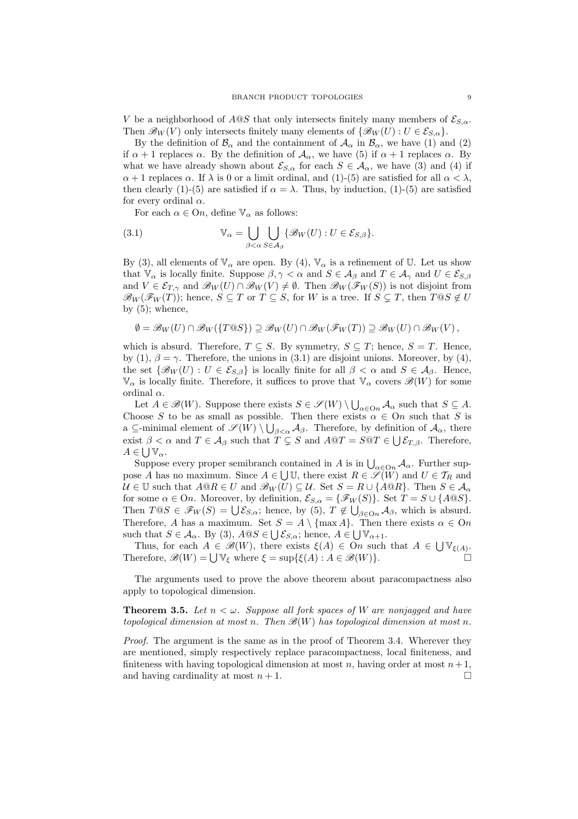V be a neighborhood of  $A@S$  that only intersects finitely many members of  $\mathcal{E}_{S,\alpha}$ . Then  $\mathscr{B}_W(V)$  only intersects finitely many elements of  $\{\mathscr{B}_W(U): U \in \mathcal{E}_{S,\alpha}\}.$ 

By the definition of  $\mathcal{B}_{\alpha}$  and the containment of  $\mathcal{A}_{\alpha}$  in  $\mathcal{B}_{\alpha}$ , we have (1) and (2) if  $\alpha + 1$  replaces  $\alpha$ . By the definition of  $\mathcal{A}_{\alpha}$ , we have (5) if  $\alpha + 1$  replaces  $\alpha$ . By what we have already shown about  $\mathcal{E}_{S,\alpha}$  for each  $S \in \mathcal{A}_{\alpha}$ , we have (3) and (4) if  $\alpha + 1$  replaces  $\alpha$ . If  $\lambda$  is 0 or a limit ordinal, and (1)-(5) are satisfied for all  $\alpha < \lambda$ , then clearly (1)-(5) are satisfied if  $\alpha = \lambda$ . Thus, by induction, (1)-(5) are satisfied for every ordinal  $\alpha$ .

For each  $\alpha \in \Omega$ , define  $\mathbb{V}_{\alpha}$  as follows:

(3.1) 
$$
\mathbb{V}_{\alpha} = \bigcup_{\beta < \alpha} \bigcup_{S \in \mathcal{A}_{\beta}} \{\mathscr{B}_{W}(U) : U \in \mathcal{E}_{S,\beta}\}.
$$

By (3), all elements of  $\mathbb{V}_{\alpha}$  are open. By (4),  $\mathbb{V}_{\alpha}$  is a refinement of U. Let us show that  $\mathbb{V}_{\alpha}$  is locally finite. Suppose  $\beta, \gamma < \alpha$  and  $S \in \mathcal{A}_{\beta}$  and  $T \in \mathcal{A}_{\gamma}$  and  $U \in \mathcal{E}_{S,\beta}$ and  $V \in \mathcal{E}_{T,\gamma}$  and  $\mathcal{B}_W(U) \cap \mathcal{B}_W(V) \neq \emptyset$ . Then  $\mathcal{B}_W(\mathcal{F}_W(S))$  is not disjoint from  $\mathscr{B}_W(\mathscr{F}_W(T))$ ; hence,  $S \subseteq T$  or  $T \subseteq S$ , for W is a tree. If  $S \subseteq T$ , then  $T \mathbb{Q}S \notin U$ by  $(5)$ ; whence,

$$
\emptyset = \mathscr{B}_W(U) \cap \mathscr{B}_W(\{T@S\}) \supseteq \mathscr{B}_W(U) \cap \mathscr{B}_W(\mathscr{F}_W(T)) \supseteq \mathscr{B}_W(U) \cap \mathscr{B}_W(V),
$$

which is absurd. Therefore,  $T \subseteq S$ . By symmetry,  $S \subseteq T$ ; hence,  $S = T$ . Hence, by (1),  $\beta = \gamma$ . Therefore, the unions in (3.1) are disjoint unions. Moreover, by (4), the set  $\{\mathscr{B}_W(U): U \in \mathcal{E}_{S,\beta}\}\$ is locally finite for all  $\beta < \alpha$  and  $S \in \mathcal{A}_{\beta}$ . Hence,  $\mathbb{V}_{\alpha}$  is locally finite. Therefore, it suffices to prove that  $\mathbb{V}_{\alpha}$  covers  $\mathscr{B}(W)$  for some ordinal  $\alpha$ .

imal  $\alpha$ .<br>Let  $A \in \mathscr{B}(W)$ . Suppose there exists  $S \in \mathscr{S}(W) \setminus \bigcup_{\alpha \in \text{On}} A_{\alpha}$  such that  $S \subseteq A$ . Choose S to be as small as possible. Then there exists  $\alpha \in On$  such that S is a  $\subseteq$ -minimal element of  $\mathscr{S}(W) \setminus \bigcup_{\beta < \alpha} A_{\beta}$ . Therefore, by definition of  $A_{\alpha}$ , there exist  $\beta < \alpha$  and  $T \in A_{\beta}$  such that  $T \subsetneq S$  and  $A@T = S@T \in \bigcup \mathcal{E}_{T,\beta}$ . Therefore,  $A\in\bigcup\mathbb{V}_{\alpha}.$ 

 $\subset \bigcup \forall \alpha$ .<br>Suppose every proper semibranch contained in A is in  $\bigcup_{\alpha \in \text{On}} \mathcal{A}_{\alpha}$ . Further suppose A has no maximum. Since  $A \in \bigcup U$ , there exist  $R \in \mathscr{S}(W)$  and  $U \in \mathcal{T}_R$  and  $U \in \mathbb{U}$  such that  $A @ R \in U$  and  $\mathscr{B}_W(U) \subseteq \mathcal{U}$ . Set  $S = R \cup \{A @ R\}$ . Then  $S \in \mathcal{A}_{\alpha}$ for some  $\alpha \in \text{On}$ . Moreover, by definition,  $\mathcal{E}_{S,\alpha} = \{\mathcal{F}_W(S)\}\.$  Set  $T = S \cup \{A@S\}$ . Then  $T@S \in \mathcal{F}_W(S) = \bigcup \mathcal{E}_{S,\alpha}$ ; hence, by (5),  $T \notin \bigcup_{\beta \in \text{On}} \mathcal{A}_{\beta}$ , which is absurd. Therefore, A has a maximum. Set  $S = A \setminus \{\max A\}$ . Then there exists  $\alpha \in \Omega$ such that  $S \in \mathcal{A}_{\alpha}$ . By (3),  $A \tQ S \in \bigcup \mathcal{E}_{S,\alpha}$ ; hence,  $A \in \bigcup \mathbb{V}_{\alpha+1}$ .

Thus, for each  $A \in \mathcal{B}(W)$ , there exists  $\xi(A) \in On$  such that  $A \in \bigcup_{\xi(A)} V_{\xi(A)}$ . Thus, for each  $A \in \mathcal{B}(W)$ , there exists  $\xi(A) \in \mathcal{O}n$  such that  $A \in \bigcup_{\xi(A)} \xi_A$ .<br>Therefore,  $\mathcal{B}(W) = \bigcup_{\xi \in \mathcal{B}} \xi$  where  $\xi = \sup_{\xi \in \mathcal{B}} \{\xi(A) : A \in \mathcal{B}(W)\}$ .

The arguments used to prove the above theorem about paracompactness also apply to topological dimension.

# **Theorem 3.5.** Let  $n < \omega$ . Suppose all fork spaces of W are nonjagged and have topological dimension at most n. Then  $\mathscr{B}(W)$  has topological dimension at most n.

Proof. The argument is the same as in the proof of Theorem 3.4. Wherever they are mentioned, simply respectively replace paracompactness, local finiteness, and finiteness with having topological dimension at most  $n$ , having order at most  $n+1$ , and having cardinality at most  $n + 1$ .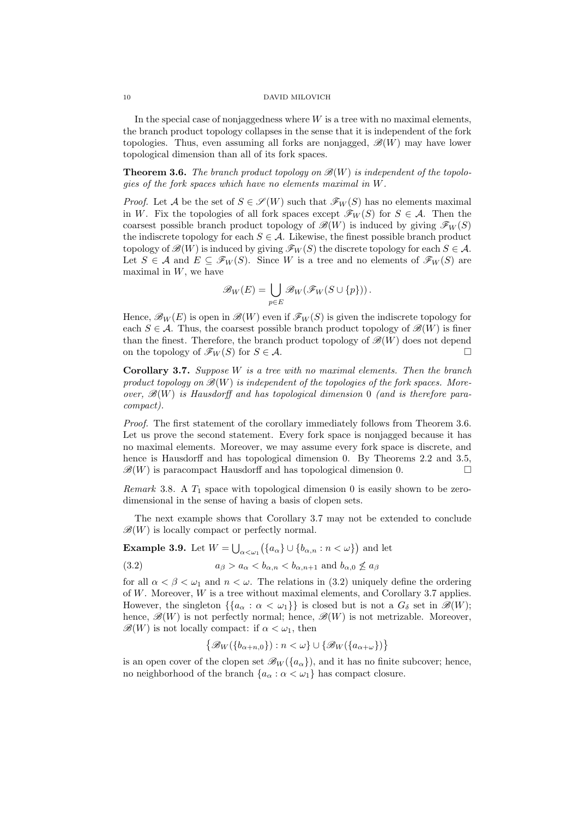In the special case of nonjaggedness where  $W$  is a tree with no maximal elements, the branch product topology collapses in the sense that it is independent of the fork topologies. Thus, even assuming all forks are nonjagged,  $\mathscr{B}(W)$  may have lower topological dimension than all of its fork spaces.

**Theorem 3.6.** The branch product topology on  $\mathscr{B}(W)$  is independent of the topologies of the fork spaces which have no elements maximal in W.

*Proof.* Let A be the set of  $S \in \mathscr{S}(W)$  such that  $\mathscr{F}_W(S)$  has no elements maximal in W. Fix the topologies of all fork spaces except  $\mathscr{F}_W(S)$  for  $S \in \mathcal{A}$ . Then the coarsest possible branch product topology of  $\mathscr{B}(W)$  is induced by giving  $\mathscr{F}_W(S)$ the indiscrete topology for each  $S \in \mathcal{A}$ . Likewise, the finest possible branch product topology of  $\mathscr{B}(W)$  is induced by giving  $\mathscr{F}_W(S)$  the discrete topology for each  $S \in \mathcal{A}$ . Let  $S \in \mathcal{A}$  and  $E \subseteq \mathscr{F}_W(S)$ . Since W is a tree and no elements of  $\mathscr{F}_W(S)$  are maximal in  $W$ , we have

$$
\mathscr{B}_W(E) = \bigcup_{p \in E} \mathscr{B}_W(\mathscr{F}_W(S \cup \{p\})).
$$

Hence,  $\mathscr{B}_W(E)$  is open in  $\mathscr{B}(W)$  even if  $\mathscr{F}_W(S)$  is given the indiscrete topology for each  $S \in \mathcal{A}$ . Thus, the coarsest possible branch product topology of  $\mathcal{B}(W)$  is finer than the finest. Therefore, the branch product topology of  $\mathcal{B}(W)$  does not depend on the topology of  $\mathcal{F}_W(S)$  for  $S \in \mathcal{A}$ .

**Corollary 3.7.** Suppose  $W$  is a tree with no maximal elements. Then the branch product topology on  $\mathcal{B}(W)$  is independent of the topologies of the fork spaces. Moreover,  $\mathcal{B}(W)$  is Hausdorff and has topological dimension 0 (and is therefore paracompact).

Proof. The first statement of the corollary immediately follows from Theorem 3.6. Let us prove the second statement. Every fork space is nonjagged because it has no maximal elements. Moreover, we may assume every fork space is discrete, and hence is Hausdorff and has topological dimension 0. By Theorems 2.2 and 3.5,  $\mathscr{B}(W)$  is paracompact Hausdorff and has topological dimension 0.

Remark 3.8. A  $T_1$  space with topological dimension 0 is easily shown to be zerodimensional in the sense of having a basis of clopen sets.

The next example shows that Corollary 3.7 may not be extended to conclude  $\mathscr{B}(W)$  is locally compact or perfectly normal.

**Example 3.9.** Let  $W = \begin{bmatrix} 1 \end{bmatrix}$  $\alpha<\omega_1$ ¡  ${a_{\alpha}\}\cup\{b_{\alpha,n}:n<\omega\}$ ¢ and let

(3.2) 
$$
a_{\beta} > a_{\alpha} < b_{\alpha, n} < b_{\alpha, n+1} \text{ and } b_{\alpha, 0} \not\le a_{\beta}
$$

for all  $\alpha < \beta < \omega_1$  and  $n < \omega$ . The relations in (3.2) uniquely define the ordering of  $W$ . Moreover,  $W$  is a tree without maximal elements, and Corollary 3.7 applies. However, the singleton  $\{\{a_{\alpha} : \alpha < \omega_1\}\}\$ is closed but is not a  $G_{\delta}$  set in  $\mathscr{B}(W)$ ; hence,  $\mathscr{B}(W)$  is not perfectly normal; hence,  $\mathscr{B}(W)$  is not metrizable. Moreover,  $\mathscr{B}(W)$  is not locally compact: if  $\alpha < \omega_1$ , then

$$
\{ \mathcal{B}_{W}(\{b_{\alpha+n,0}\}) : n < \omega \} \cup \{ \mathcal{B}_{W}(\{a_{\alpha+\omega}\}) \}
$$

is an open cover of the clopen set  $\mathscr{B}_W(\{a_\alpha\})$ , and it has no finite subcover; hence, no neighborhood of the branch  $\{a_{\alpha} : \alpha < \omega_1\}$  has compact closure.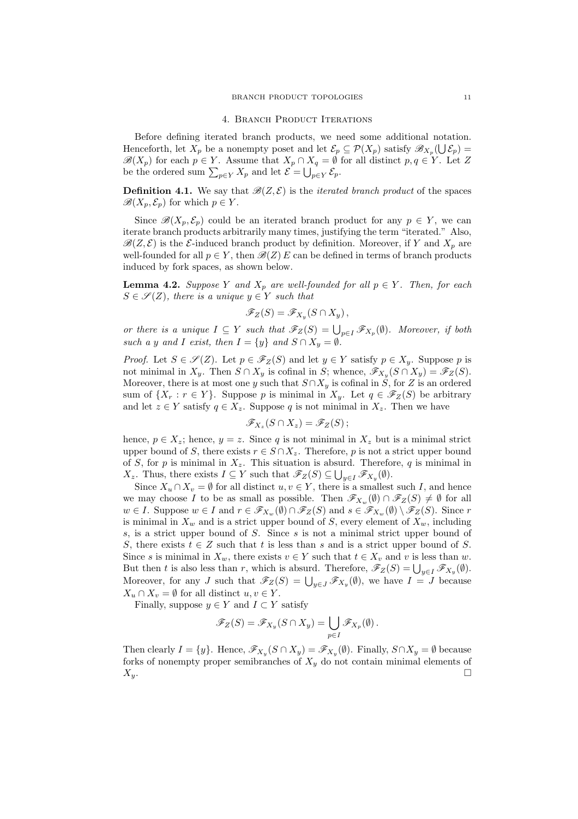#### 4. BRANCH PRODUCT ITERATIONS

Before defining iterated branch products, we need some additional notation. Henceforth, let  $X_p$  be a nonempty poset and let  $\mathcal{E}_p \subseteq \mathcal{P}(X_p)$  satisfy  $\mathscr{B}_{X_p}(\bigcup \mathcal{E}_p) =$  $\mathscr{B}(X_p)$  for each  $p \in Y$ . Assume that  $X_p \cap X_q = \emptyset$  for all distinct  $p, q \in Y$ . Let Z  $\mathcal{B}(\Lambda_p)$  for each  $p \in Y$ . Assume that  $\Lambda_p \cap \Lambda_q = \emptyset$ .<br>be the ordered sum  $\sum_{p \in Y} X_p$  and let  $\mathcal{E} = \bigcup_{p \in Y} \mathcal{E}_p$ .

**Definition 4.1.** We say that  $\mathcal{B}(Z, \mathcal{E})$  is the *iterated branch product* of the spaces  $\mathscr{B}(X_p, \mathcal{E}_p)$  for which  $p \in Y$ .

Since  $\mathscr{B}(X_n, \mathcal{E}_n)$  could be an iterated branch product for any  $p \in Y$ , we can iterate branch products arbitrarily many times, justifying the term "iterated." Also,  $\mathscr{B}(Z,\mathcal{E})$  is the  $\mathcal{E}\text{-induced branch product by definition. Moreover, if }Y \text{ and } X_p \text{ are }$ well-founded for all  $p \in Y$ , then  $\mathscr{B}(Z)E$  can be defined in terms of branch products induced by fork spaces, as shown below.

**Lemma 4.2.** Suppose Y and  $X_p$  are well-founded for all  $p \in Y$ . Then, for each  $S \in \mathscr{S}(Z)$ , there is a unique  $y \in Y$  such that

$$
\mathscr{F}_Z(S)=\mathscr{F}_{X_y}(S\cap X_y)\,,
$$

or there is a unique  $I \subseteq Y$  such that  $\mathscr{F}_Z(S) = \bigcup_{p \in I} \mathscr{F}_{X_p}(\emptyset)$ . Moreover, if both such a y and I exist, then  $I = \{y\}$  and  $S \cap X_y = \emptyset$ .

*Proof.* Let  $S \in \mathscr{S}(Z)$ . Let  $p \in \mathscr{F}_Z(S)$  and let  $y \in Y$  satisfy  $p \in X_y$ . Suppose p is not minimal in  $X_y$ . Then  $S \cap X_y$  is cofinal in S; whence,  $\mathscr{F}_{X_y}(S \cap X_y) = \mathscr{F}_Z(S)$ . Moreover, there is at most one y such that  $S \cap X_y$  is cofinal in S, for Z is an ordered sum of  $\{X_r : r \in Y\}$ . Suppose p is minimal in  $X_y$ . Let  $q \in \mathscr{F}_Z(S)$  be arbitrary and let  $z \in Y$  satisfy  $q \in X_z$ . Suppose q is not minimal in  $X_z$ . Then we have

$$
\mathscr{F}_{X_z}(S \cap X_z) = \mathscr{F}_Z(S) \, ;
$$

hence,  $p \in X_z$ ; hence,  $y = z$ . Since q is not minimal in  $X_z$  but is a minimal strict upper bound of S, there exists  $r \in S \cap X_z$ . Therefore, p is not a strict upper bound of S, for p is minimal in  $X_z$ . This situation is absurd. Therefore, q is minimal in  $X_z$ . Thus, there exists  $I \subseteq Y$  such that  $\mathscr{F}_Z(S) \subseteq \bigcup_{y \in I} \mathscr{F}_{X_y}(\emptyset)$ .

Since  $X_u \cap X_v = \emptyset$  for all distinct  $u, v \in Y$ , there is a smallest such I, and hence we may choose I to be as small as possible. Then  $\mathscr{F}_{X_w}(\emptyset) \cap \mathscr{F}_Z(S) \neq \emptyset$  for all  $w \in I$ . Suppose  $w \in I$  and  $r \in \mathscr{F}_{X_w}(\emptyset) \cap \mathscr{F}_Z(S)$  and  $s \in \mathscr{F}_{X_w}(\emptyset) \setminus \mathscr{F}_Z(S)$ . Since r is minimal in  $X_w$  and is a strict upper bound of S, every element of  $X_w$ , including  $s$ , is a strict upper bound of  $S$ . Since  $s$  is not a minimal strict upper bound of S, there exists  $t \in Z$  such that t is less than s and is a strict upper bound of S. Since s is minimal in  $X_w$ , there exists  $v \in Y$  such that  $t \in X_v$  and v is less than w. Since s is minimal in  $\Lambda_w$ , there exists  $v \in I$  such that  $t \in \Lambda_v$  and v is less than w.<br>But then t is also less than r, which is absurd. Therefore,  $\mathscr{F}_Z(S) = \bigcup_{y \in I} \mathscr{F}_{X_y}(\emptyset)$ . But then t is also less than t, which is absurd. Therefore,  $\mathcal{F}_Z(\mathcal{S}) - \bigcup_{y \in I} \mathcal{F}_{X_y}(y)$ .<br>Moreover, for any J such that  $\mathcal{F}_Z(S) = \bigcup_{y \in J} \mathcal{F}_{X_y}(\emptyset)$ , we have  $I = J$  because  $X_u \cap X_v = \emptyset$  for all distinct  $u, v \in Y$ .

Finally, suppose  $y \in Y$  and  $I \subset Y$  satisfy

$$
\mathscr{F}_Z(S) = \mathscr{F}_{X_y}(S \cap X_y) = \bigcup_{p \in I} \mathscr{F}_{X_p}(\emptyset).
$$

Then clearly  $I = \{y\}$ . Hence,  $\mathscr{F}_{X_y}(S \cap X_y) = \mathscr{F}_{X_y}(\emptyset)$ . Finally,  $S \cap X_y = \emptyset$  because forks of nonempty proper semibranches of  $X<sub>y</sub>$  do not contain minimal elements of  $X_y$ .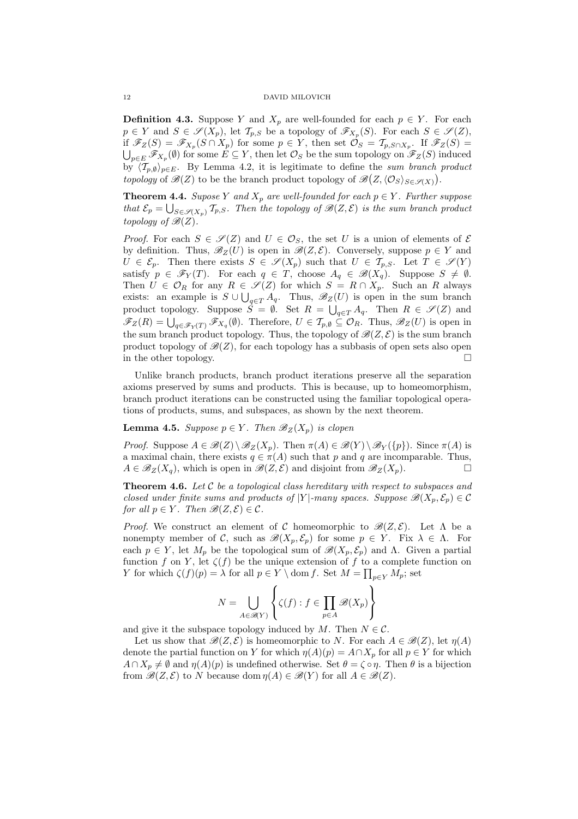**Definition 4.3.** Suppose Y and  $X_p$  are well-founded for each  $p \in Y$ . For each  $p \in Y$  and  $S \in \mathscr{S}(X_p)$ , let  $\mathcal{T}_{p,S}$  be a topology of  $\mathscr{F}_{X_p}(S)$ . For each  $S \in \mathscr{S}(Z)$ , if  $\mathscr{F}_Z(S) = \mathscr{F}_{X_p}(S \cap X_p)$  for some  $p \in Y$ , then set  $\mathcal{O}_S = \mathcal{T}_{p,S \cap X_p}$ . If  $\mathscr{F}_Z(S) =$  $_{p\in E}\mathscr{F}_{X_p}(\emptyset)$  for some  $E\subseteq Y$ , then let  $\mathcal{O}_S$  be the sum topology on  $\mathscr{F}_Z(S)$  induced by  $\langle T_{p,\emptyset} \rangle_{p \in E}$ . By Lemma 4.2, it is legitimate to define the sum branch product topology of  $\mathscr{B}(Z)$  to be the branch product topology of  $\mathscr{B}(Z,\langle \mathcal{O}_S\rangle_{S\in\mathscr{S}(X)})$ .

**Theorem 4.4.** Supose Y and  $X_p$  are well-founded for each  $p \in Y$ . Further suppose that  $\mathcal{E}_p = \bigcup_{S \in \mathcal{S}(X_p)} \mathcal{T}_{p,S}$ . Then the topology of  $\mathcal{B}(Z, \mathcal{E})$  is the sum branch product topology of  $\mathscr{B}(Z)$ .

*Proof.* For each  $S \in \mathscr{S}(Z)$  and  $U \in \mathcal{O}_S$ , the set U is a union of elements of  $\mathcal E$ by definition. Thus,  $\mathscr{B}_Z(U)$  is open in  $\mathscr{B}(Z,\mathcal{E})$ . Conversely, suppose  $p \in Y$  and  $U \in \mathcal{E}_p$ . Then there exists  $S \in \mathscr{S}(X_p)$  such that  $U \in \mathcal{T}_{p,S}$ . Let  $T \in \mathscr{S}(Y)$ satisfy  $p \in \mathscr{F}_Y(T)$ . For each  $q \in T$ , choose  $A_q \in \mathscr{B}(X_q)$ . Suppose  $S \neq \emptyset$ . Then  $U \in \mathcal{O}_R$  for any  $R \in \mathscr{S}(Z)$  for which  $S = R \cap X_p$ . Such an R always exists: an example is  $S \cup \bigcup_{q \in T} A_q$ . Thus,  $\mathscr{B}_Z(U)$  is open in the sum branch exists. an example is  $S \cup \bigcup_{q \in T} A_q$ . Thus,  $\mathscr{B}_Z(U)$  is open in the sum branch<br>product topology. Suppose  $S = \emptyset$ . Set  $R = \bigcup_{q \in T} A_q$ . Then  $R \in \mathscr{S}(Z)$  and<br> $\mathscr{F}_Z(R) = \bigcup_{q \in \mathscr{F}_Y(T)} \mathscr{F}_{X_q}(\emptyset)$ . Therefore,  $U \in$ the sum branch product topology. Thus, the topology of  $\mathcal{B}(Z, \mathcal{E})$  is the sum branch product topology of  $\mathscr{B}(Z)$ , for each topology has a subbasis of open sets also open in the other topology.  $\Box$ 

Unlike branch products, branch product iterations preserve all the separation axioms preserved by sums and products. This is because, up to homeomorphism, branch product iterations can be constructed using the familiar topological operations of products, sums, and subspaces, as shown by the next theorem.

# **Lemma 4.5.** Suppose  $p \in Y$ . Then  $\mathscr{B}_Z(X_p)$  is clopen

*Proof.* Suppose  $A \in \mathcal{B}(Z) \setminus \mathcal{B}_Z(X_p)$ . Then  $\pi(A) \in \mathcal{B}(Y) \setminus \mathcal{B}_Y(\{p\})$ . Since  $\pi(A)$  is a maximal chain, there exists  $q \in \pi(A)$  such that p and q are incomparable. Thus,  $A \in \mathcal{B}_Z(X_q)$ , which is open in  $\mathcal{B}(Z, \mathcal{E})$  and disjoint from  $\mathcal{B}_Z(X_p)$ .

**Theorem 4.6.** Let  $C$  be a topological class hereditary with respect to subspaces and closed under finite sums and products of |Y|-many spaces. Suppose  $\mathscr{B}(X_p, \mathcal{E}_p) \in \mathcal{C}$ for all  $p \in Y$ . Then  $\mathscr{B}(Z, \mathcal{E}) \in \mathcal{C}$ .

*Proof.* We construct an element of C homeomorphic to  $\mathscr{B}(Z,\mathcal{E})$ . Let  $\Lambda$  be a nonempty member of C, such as  $\mathscr{B}(X_p, \mathcal{E}_p)$  for some  $p \in Y$ . Fix  $\lambda \in \Lambda$ . For each  $p \in Y$ , let  $M_p$  be the topological sum of  $\mathscr{B}(X_p, \mathcal{E}_p)$  and  $\Lambda$ . Given a partial function f on Y, let  $\zeta(f)$  be the unique extension of f to a complete function on Y for which  $\zeta(f)(p) = \lambda$  for all  $p \in Y \setminus \text{dom } f$ . Set  $M = \prod_{p \in Y} M_p$ ; set

$$
N = \bigcup_{A \in \mathcal{R}(Y)} \left\{ \zeta(f) : f \in \prod_{p \in A} \mathcal{B}(X_p) \right\}
$$

and give it the subspace topology induced by M. Then  $N \in \mathcal{C}$ .

Let us show that  $\mathcal{B}(Z,\mathcal{E})$  is homeomorphic to N. For each  $A \in \mathcal{B}(Z)$ , let  $\eta(A)$ denote the partial function on Y for which  $\eta(A)(p) = A \cap X_p$  for all  $p \in Y$  for which  $A \cap X_p \neq \emptyset$  and  $\eta(A)(p)$  is undefined otherwise. Set  $\theta = \zeta \circ \eta$ . Then  $\theta$  is a bijection from  $\mathscr{B}(Z,\mathcal{E})$  to N because dom  $\eta(A) \in \mathscr{B}(Y)$  for all  $A \in \mathscr{B}(Z)$ .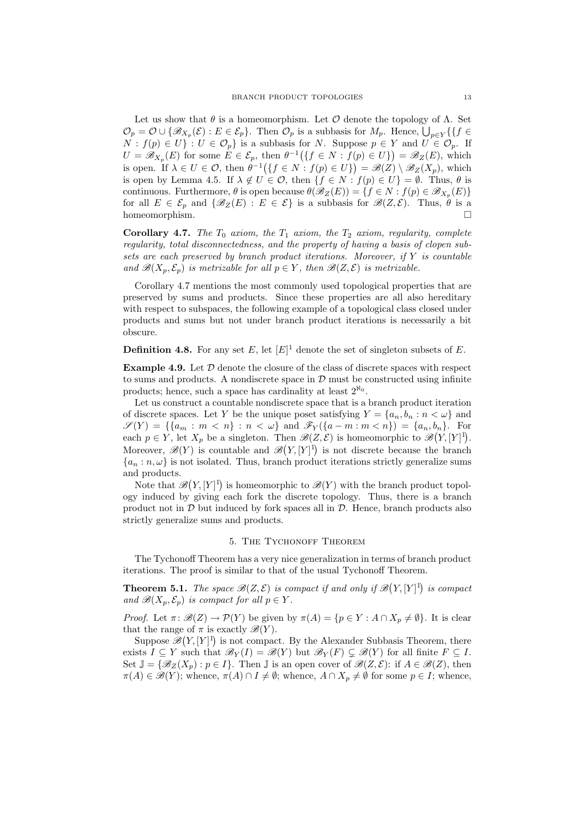Let us show that  $\theta$  is a homeomorphism. Let  $\mathcal O$  denote the topology of  $\Lambda$ . Set Let us show that  $\theta$  is a nomeomorphism. Let C denote the topology of  $\Lambda$ . Set  $\mathcal{O}_p = \mathcal{O} \cup \{ \mathcal{B}_{X_p}(\mathcal{E}) : E \in \mathcal{E}_p \}$ . Then  $\mathcal{O}_p$  is a subbasis for  $M_p$ . Hence,  $\bigcup_{p \in Y} \{ \{ f \in$  $N : f(p) \in U$  :  $U \in \mathcal{O}_p$  is a subbasis for N. Suppose  $p \in Y$  and  $U \in \mathcal{O}_p$ . If  $U = \mathscr{B}_{X_p}(E)$  for some  $E \in \mathcal{E}_p$ , then  $\theta^{-1}(\lbrace f \in N : f(p) \in U \rbrace) = \mathscr{B}_Z(E)$ , which is open. If  $\lambda \in U \in \mathcal{O}$ , then  $\theta^{-1}(\lbrace f \in N : f(p) \in U \rbrace) = \mathscr{B}(Z) \setminus \mathscr{B}_Z(X_p)$ , which is open by Lemma 4.5. If  $\lambda \notin U \in \mathcal{O}$ , then  $\{f \in N : f(p) \in U\} = \emptyset$ . Thus,  $\theta$  is continuous. Furthermore,  $\theta$  is open because  $\theta(\mathscr{B}_Z(E)) = \{f \in N : f(p) \in \mathscr{B}_{X_p}(E)\}\$ for all  $E \in \mathcal{E}_p$  and  $\{\mathscr{B}_Z(E) : E \in \mathcal{E}\}\$ is a subbasis for  $\mathscr{B}(Z,\mathcal{E})$ . Thus,  $\theta$  is a homeomorphism.  $\Box$ 

**Corollary 4.7.** The  $T_0$  axiom, the  $T_1$  axiom, the  $T_2$  axiom, regularity, complete regularity, total disconnectedness, and the property of having a basis of clopen subsets are each preserved by branch product iterations. Moreover, if Y is countable and  $\mathscr{B}(X_p, \mathcal{E}_p)$  is metrizable for all  $p \in Y$ , then  $\mathscr{B}(Z, \mathcal{E})$  is metrizable.

Corollary 4.7 mentions the most commonly used topological properties that are preserved by sums and products. Since these properties are all also hereditary with respect to subspaces, the following example of a topological class closed under products and sums but not under branch product iterations is necessarily a bit obscure.

**Definition 4.8.** For any set E, let  $[E]$ <sup>1</sup> denote the set of singleton subsets of E.

**Example 4.9.** Let  $D$  denote the closure of the class of discrete spaces with respect to sums and products. A nondiscrete space in  $\mathcal D$  must be constructed using infinite products; hence, such a space has cardinality at least  $2^{\aleph_0}$ .

Let us construct a countable nondiscrete space that is a branch product iteration of discrete spaces. Let Y be the unique poset satisfying  $Y = \{a_n, b_n : n < \omega\}$  and  $\mathscr{S}(Y) = \{ \{a_m : m < n \} : n < \omega \}$  and  $\mathscr{F}_Y(\{a - m : m < n \}) = \{a_n, b_n\}$ . For each  $p \in Y$ , let  $X_p$  be a singleton. Then  $\mathscr{B}(Z, \mathcal{E})$  is homeomorphic to  $\mathscr{B}(Y, [Y]^1)$ . Moreover,  $\mathscr{B}(Y)$  is countable and  $\mathscr{B}(Y,[Y]^1)$  is not discrete because the branch  ${a_n : n, \omega}$  is not isolated. Thus, branch product iterations strictly generalize sums and products. ¡

Note that  $\mathscr{B}$  $Y, [Y]^{1}$ is homeomorphic to  $\mathscr{B}(Y)$  with the branch product topology induced by giving each fork the discrete topology. Thus, there is a branch product not in  $\mathcal D$  but induced by fork spaces all in  $\mathcal D$ . Hence, branch products also strictly generalize sums and products.

# 5. THE TYCHONOFF THEOREM

The Tychonoff Theorem has a very nice generalization in terms of branch product iterations. The proof is similar to that of the usual Tychonoff Theorem.

**Theorem 5.1.** The space  $\mathscr{B}(Z,\mathcal{E})$  is compact if and only if  $\mathscr{B}$ ¡  $Y, [Y]^{1}$ is compact and  $\mathscr{B}(X_p, \mathcal{E}_p)$  is compact for all  $p \in Y$ .

*Proof.* Let  $\pi: \mathscr{B}(Z) \to \mathcal{P}(Y)$  be given by  $\pi(A) = \{p \in Y : A \cap X_p \neq \emptyset\}$ . It is clear that the range of  $\pi$  is exactly  $\mathscr{B}(Y)$ .

Suppose  $\mathscr{B}(Y,[Y]^1)$  is not compact. By the Alexander Subbasis Theorem, there exists  $I \subseteq Y$  such that  $\mathscr{B}_Y(I) = \mathscr{B}(Y)$  but  $\mathscr{B}_Y(F) \subsetneq \mathscr{B}(Y)$  for all finite  $F \subseteq I$ . Set  $\mathbb{J} = \{ \mathscr{B}_Z(X_p) : p \in I \}.$  Then  $\mathbb{J}$  is an open cover of  $\mathscr{B}(Z, \mathcal{E})$ : if  $A \in \mathscr{B}(Z)$ , then  $\pi(A) \in \mathscr{B}(Y)$ ; whence,  $\pi(A) \cap I \neq \emptyset$ ; whence,  $A \cap X_p \neq \emptyset$  for some  $p \in I$ ; whence,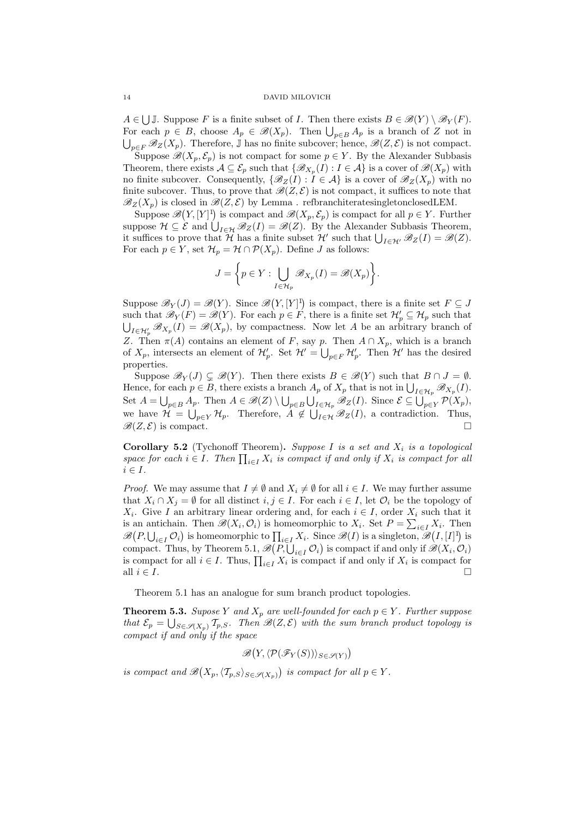$A \in \bigcup \mathbb{J}$ . Suppose F is a finite subset of I. Then there exists  $B \in \mathscr{B}(Y) \setminus \mathscr{B}_Y(F)$ .  $A \in \bigcup J$ . Suppose *F* is a linite subset of *I*. Then there exists  $B \in \mathcal{B}(I) \setminus \mathcal{B}_Y(I)$ .<br>For each  $p \in B$ , choose  $A_p \in \mathcal{B}(X_p)$ . Then  $\bigcup_{p \in B} A_p$  is a branch of *Z* not in  $\bigcup_{p\in F} \mathscr{B}_Z(X_p)$ . Therefore, J has no finite subcover; hence,  $\mathscr{B}(Z,\mathcal{E})$  is not compact.

Suppose  $\mathscr{B}(X_p, \mathcal{E}_p)$  is not compact for some  $p \in Y$ . By the Alexander Subbasis Theorem, there exists  $A \subseteq \mathcal{E}_p$  such that  $\{\mathscr{B}_{X_p}(I) : I \in \mathcal{A}\}$  is a cover of  $\mathscr{B}(X_p)$  with no finite subcover. Consequently,  $\{\mathscr{B}_Z(I): I \in \mathcal{A}\}\$ is a cover of  $\mathscr{B}_Z(X_p)$  with no finite subcover. Thus, to prove that  $\mathscr{B}(Z,\mathcal{E})$  is not compact, it suffices to note that  $\mathscr{B}_Z(X_p)$  is closed in  $\mathscr{B}(Z,\mathcal{E})$  by Lemma . refbranchiteratesingletonclosed LEM.

Suppose  $\mathscr{B}(Y,[Y]^1)$  is compact and  $\mathscr{B}(X_p,\mathcal{E}_p)$  is compact for all  $p \in Y$ . Further suppose  $\mathcal{B}(I, [I]')$  is compact and  $\mathcal{B}(\Lambda_p, \mathcal{E}_p)$  is compact for an  $p \in I$ . Further suppose  $\mathcal{H} \subseteq \mathcal{E}$  and  $\bigcup_{I \in \mathcal{H}} \mathcal{B}_Z(I) = \mathcal{B}(Z)$ . By the Alexander Subbasis Theorem, suppose  $\pi \subseteq \mathcal{E}$  and  $\bigcup_{I \in \mathcal{H}} \mathcal{B}_Z(I) = \mathcal{B}(Z)$ . By the Alexander Subbasis Theorem,<br>it suffices to prove that H has a finite subset H' such that  $\bigcup_{I \in \mathcal{H}'} \mathcal{B}_Z(I) = \mathcal{B}(Z)$ . For each  $p \in Y$ , set  $\mathcal{H}_p = \mathcal{H} \cap \mathcal{P}(X_p)$ . Define J as follows:

$$
J = \bigg\{ p \in Y : \bigcup_{I \in \mathcal{H}_p} \mathscr{B}_{X_p}(I) = \mathscr{B}(X_p) \bigg\}.
$$

Suppose  $\mathscr{B}_Y(J) = \mathscr{B}(Y)$ . Since  $\mathscr{B}$ ¡  $Y, [Y]^{1}$ is compact, there is a finite set  $F \subseteq J$ such that  $\mathscr{B}_Y(F) = \mathscr{B}(Y)$ . For each  $p \in F$ , there is a finite set  $\mathcal{H}'_p \subseteq \mathcal{H}_p$  such that  $I \in \mathcal{H}'_p$   $\mathscr{B}_{X_p}(I) = \mathscr{B}(X_p)$ , by compactness. Now let A be an arbitrary branch of Z. Then  $\pi(A)$  contains an element of F, say p. Then  $A \cap X_p$ , which is a branch of  $X_p$ , intersects an element of  $\mathcal{H}'_p$ . Set  $\mathcal{H}' = \bigcup_{p \in F} \mathcal{H}'_p$ . Then  $\mathcal{H}'$  has the desired properties.

Suppose  $\mathscr{B}_Y(J) \subseteq \mathscr{B}(Y)$ . Then there exists  $B \in \mathscr{B}(Y)$  such that  $B \cap J = \emptyset$ . Suppose  $\mathcal{B}_Y(J) \subsetneq \mathcal{B}(I)$ . Then there exists  $B \in \mathcal{B}(I)$  such that  $B \cap J = \emptyset$ .<br>Hence, for each  $p \in B$ , there exists a branch  $A_p$  of  $X_p$  that is not in  $\bigcup_{I \in \mathcal{H}_p} \mathcal{B}_{X_p}(I)$ . Set  $A = \bigcup_{p \in B} A_p$ . Then  $A \in \mathcal{B}(Z) \setminus \bigcup$ p∈B  $\mathcal{B}(\mathcal{L})$ , there exists a branch  $\Lambda_p$  of  $\Lambda_p$  that is not in  $\bigcup_{I \in \mathcal{H}_p} \mathcal{B}_{X_p}(I)$ .<br>  $\Lambda_p$ . Then  $A \in \mathcal{B}(Z) \setminus \bigcup_{p \in B} \bigcup_{I \in \mathcal{H}_p} \mathcal{B}_{Z}(I)$ . Since  $\mathcal{E} \subseteq \bigcup_{p \in Y} \mathcal{P}(X_p)$ , we have  $\mathcal{H} = \bigcup_{p \in Y} \mathcal{H}_p$ . Therefore,  $A \notin \bigcup_{I \in \mathcal{H}} \mathscr{B}_Z(I)$ , a contradiction. Thus,  $\mathscr{B}(Z,\mathcal{E})$  is compact.

**Corollary 5.2** (Tychonoff Theorem). Suppose I is a set and  $X_i$  is a topological **Coronary 3.2** (Tychonon Theorem). Suppose *I* is a set and  $X_i$  is a topological space for each  $i \in I$ . Then  $\prod_{i \in I} X_i$  is compact if and only if  $X_i$  is compact for all  $i \in I$ .

*Proof.* We may assume that  $I \neq \emptyset$  and  $X_i \neq \emptyset$  for all  $i \in I$ . We may further assume that  $X_i \cap X_j = \emptyset$  for all distinct  $i, j \in I$ . For each  $i \in I$ , let  $\mathcal{O}_i$  be the topology of  $X_i$ . Give I an arbitrary linear ordering and, for each  $i \in I$ , order  $X_i$  such that it is an antichain. Then  $\mathscr{B}(X_i, \mathcal{O}_i)$  is homeomorphic to  $X_i$ . Set  $P = \sum_{i \in I} X_i$ . Then is an antichant. Then  $\mathcal{B}(P, \bigcup_{i \in I} \mathcal{O}_i)$  is homeomorphic to  $\prod_{i \in I} X_i$ . Since  $\mathcal{B}(I)$  is a singleton,  $\mathcal{B}(I, [I]^1)$  is  $\mathcal{B}(P, \bigcup_{i \in I} \mathcal{O}_i)$  is homeomorphic to  $\prod_{i \in I} X_i$ . Since  $\mathcal{B}(I)$  is a sin  $\mathscr{B}(T, \bigcup_{i \in I} C_i)$  is nonicomorphic to  $\prod_{i \in I} X_i$ . Since  $\mathscr{B}(T)$  is a singleton,  $\mathscr{B}(T, [T])$  is compact. Thus, by Theorem 5.1,  $\mathscr{B}(P, \bigcup_{i \in I} C_i)$  is compact if and only if  $\mathscr{B}(X_i, \mathcal{O}_i)$ compact. Thus, by Theorem 3.1,  $\mathcal{B}(P, \bigcup_{i \in I} C_i)$  is compact if and only if  $X_i$  is compact for all  $i \in I$ . Thus,  $\prod_{i \in I} X_i$  is compact if and only if  $X_i$  is compact for all  $i \in I$ .

Theorem 5.1 has an analogue for sum branch product topologies.

**Theorem 5.3.** Supose Y and  $X_p$  are well-founded for each  $p \in Y$ . Further suppose that  $\mathcal{E}_p = \bigcup_{S \in \mathscr{S}(X_p)} \mathcal{T}_{p,S}$ . Then  $\mathscr{B}(Z,\mathcal{E})$  with the sum branch product topology is compact if and only if the space

$$
\mathscr{B}\big(Y, \langle \mathcal{P}(\mathscr{F}_Y(S)) \rangle_{S \in \mathscr{S}(Y)}\big)
$$

is compact and B ¡  $X_p, \langle \mathcal{T}_{p,S} \rangle_{S \in \mathscr{S}(X_p)}$ ¢ is compact for all  $p \in Y$ .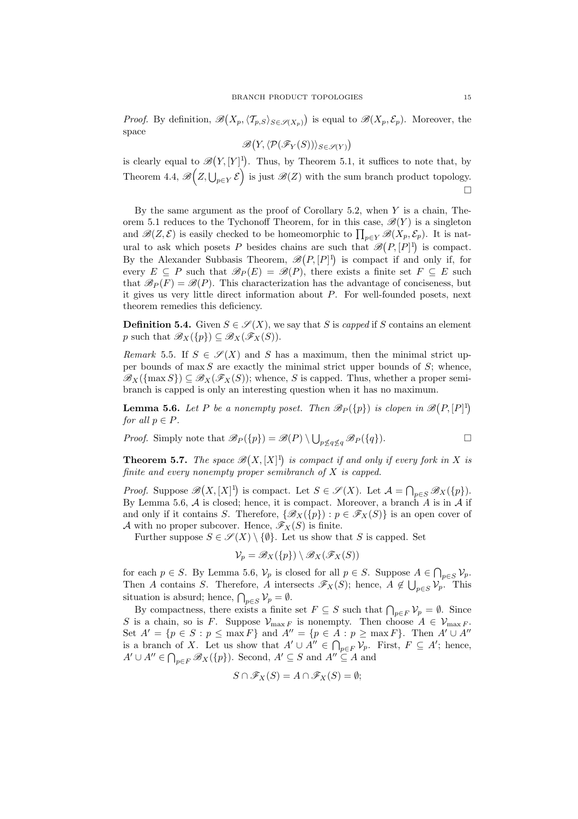*Proof.* By definition,  $\mathscr{B}$ ¡  $X_p, \langle \mathcal{T}_{p,S} \rangle_{S \in \mathscr{S}(X_p)}$ ¢ is equal to  $\mathscr{B}(X_p, \mathcal{E}_p)$ . Moreover, the space ¡ ¢

B  $Y,\langle \mathcal{P}(\mathscr{F}_Y(S))\rangle_{S\in\mathscr{S}(Y)}$ 

is clearly equal to  $\mathscr{B}$ ¡  $Y, [Y]^{1}$ to  $\mathscr{B}(Y,[Y]^1)$ . Thus, by Theorem 5.1, it suffices to note that, by Theorem 4.4,  $\mathscr{B}(Z, \bigcup_{p \in Y} \mathcal{E})$  is just  $\mathscr{B}(Z)$  with the sum branch product topology. ¤

By the same argument as the proof of Corollary 5.2, when  $Y$  is a chain, Theorem 5.1 reduces to the Tychonoff Theorem, for in this case,  $\mathscr{B}(Y)$  is a singleton between 3.1 reduces to the Tychonon Theorem, for in this case,  $\mathcal{B}(T)$  is a singleton and  $\mathcal{B}(Z,\mathcal{E})$  is easily checked to be homeomorphic to  $\prod_{p\in Y}\mathcal{B}(X_p,\mathcal{E}_p)$ . It is natural to ask which posets P besides chains are such that  $\mathscr{B}(P,[P]^1)$  is compact. By the Alexander Subbasis Theorem,  $\mathscr{B}(P,[P]^1)$  is compact if and only if, for every  $E \subseteq P$  such that  $\mathscr{B}_P(E) = \mathscr{B}(P)$ , there exists a finite set  $F \subseteq E$  such that  $\mathscr{B}_P(F) = \mathscr{B}(P)$ . This characterization has the advantage of conciseness, but it gives us very little direct information about P. For well-founded posets, next theorem remedies this deficiency.

**Definition 5.4.** Given  $S \in \mathcal{S}(X)$ , we say that S is capped if S contains an element p such that  $\mathscr{B}_X({p}) \subseteq \mathscr{B}_X(\mathscr{F}_X(S))$ .

Remark 5.5. If  $S \in \mathscr{S}(X)$  and S has a maximum, then the minimal strict upper bounds of  $\max S$  are exactly the minimal strict upper bounds of  $S$ ; whence,  $\mathscr{B}_{X}(\{\max S\}) \subseteq \mathscr{B}_{X}(\mathscr{F}_{X}(S))$ ; whence, S is capped. Thus, whether a proper semibranch is capped is only an interesting question when it has no maximum.

**Lemma 5.6.** Let P be a nonempty poset. Then  $\mathscr{B}_P({p})$  is clopen in  $\mathscr{B}$ ¡  $P, [P]$ <sup>1</sup>) for all  $p \in P$ .

*Proof.* Simply note that 
$$
\mathscr{B}_P(\{p\}) = \mathscr{B}(P) \setminus \bigcup_{p \leq q \leq q} \mathscr{B}_P(\{q\}).
$$

Theorem 5.7. The space  $\mathscr B$ ¡  $X, [X]^{1}$ is compact if and only if every fork in X is finite and every nonempty proper semibranch of X is capped.

Proof. Suppose  $\mathscr B$ ¡  $X, [X]^{1}$ is compact. Let  $S \in \mathscr{S}(X)$ . Let  $\mathcal{A} = \bigcap_{p \in S} \mathscr{B}_X(\{p\})$ . By Lemma 5.6,  $A$  is closed; hence, it is compact. Moreover, a branch  $\overline{A}$  is in  $A$  if and only if it contains S. Therefore,  $\{\mathscr{B}_X(\{p\}) : p \in \mathscr{F}_X(S)\}\$ is an open cover of A with no proper subcover. Hence,  $\mathscr{F}_X(S)$  is finite.

Further suppose  $S \in \mathscr{S}(X) \setminus \{\emptyset\}$ . Let us show that S is capped. Set

$$
\mathcal{V}_p = \mathscr{B}_X(\{p\}) \setminus \mathscr{B}_X(\mathscr{F}_X(S))
$$

for each  $p \in S$ . By Lemma 5.6,  $\mathcal{V}_p$  is closed for all  $p \in S$ . Suppose  $A \in \bigcap_{p \in S} \mathcal{V}_p$ . Then A contains S. Therefore, A intersects  $\mathscr{F}_X(S)$ ; hence,  $A \notin \bigcup_{p \in S} \mathcal{V}_p$ . This situation is absurd; hence,  $\bigcap_{p\in S} V_p = \emptyset$ .

By compactness, there exists a finite set  $F \subseteq S$  such that  $\bigcap_{p \in F} \mathcal{V}_p = \emptyset$ . Since S is a chain, so is F. Suppose  $\mathcal{V}_{\max F}$  is nonempty. Then choose  $A \in \mathcal{V}_{\max F}$ . Set  $A' = \{p \in S : p \le \max F\}$  and  $A'' = \{p \in A : p \ge \max F\}$ . Then  $A' \cup A''$ is a branch of X. Let us show that  $A' \cup A'' \in \bigcap_{p \in F} \mathcal{V}_p$ . First,  $F \subseteq A'$ ; hence,  $A' \cup A'' \in \bigcap_{p \in F} \mathscr{B}_X(\{p\})$ . Second,  $A' \subseteq S$  and  $A'' \subseteq A$  and

$$
S \cap \mathscr{F}_X(S) = A \cap \mathscr{F}_X(S) = \emptyset;
$$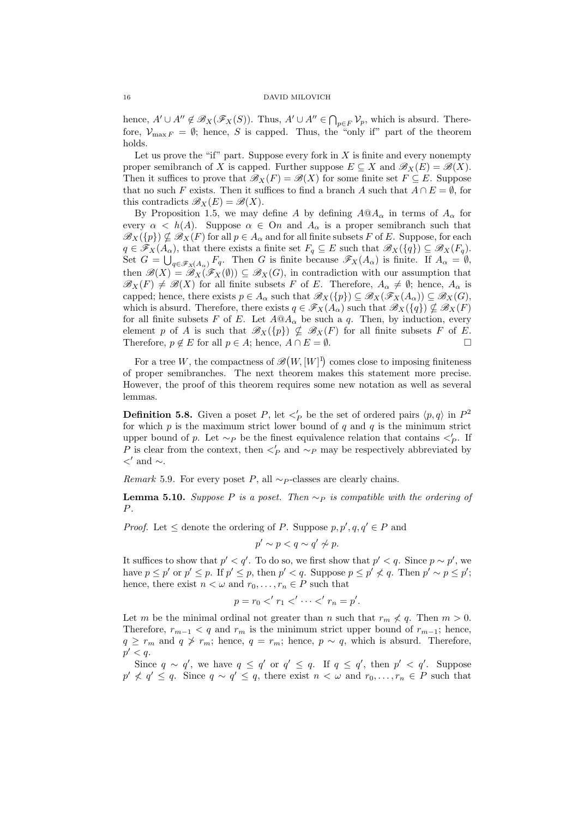hence,  $A' \cup A'' \notin \mathscr{B}_X(\mathscr{F}_X(S))$ . Thus,  $A' \cup A'' \in \bigcap_{p \in F} \mathcal{V}_p$ , which is absurd. Therefore,  $\mathcal{V}_{\max F} = \emptyset$ ; hence, S is capped. Thus, the "only if" part of the theorem holds.

Let us prove the "if" part. Suppose every fork in  $X$  is finite and every nonempty proper semibranch of X is capped. Further suppose  $E \subseteq X$  and  $\mathscr{B}_{X}(E) = \mathscr{B}(X)$ . Then it suffices to prove that  $\mathscr{B}_X(F) = \mathscr{B}(X)$  for some finite set  $F \subseteq E$ . Suppose that no such F exists. Then it suffices to find a branch A such that  $A \cap E = \emptyset$ , for this contradicts  $\mathscr{B}_X(E) = \mathscr{B}(X)$ .

By Proposition 1.5, we may define A by defining  $A@A<sub>\alpha</sub>$  in terms of  $A<sub>\alpha</sub>$  for every  $\alpha \leq h(A)$ . Suppose  $\alpha \in \Omega$  and  $A_{\alpha}$  is a proper semibranch such that  $\mathscr{B}_{X}(\{p\}) \nsubseteq \mathscr{B}_{X}(F)$  for all  $p \in A_{\alpha}$  and for all finite subsets F of E. Suppose, for each  $q \in \mathscr{F}_X(A_\alpha)$ , that there exists a finite set  $F_q \subseteq E$  such that  $\mathscr{B}_X(\lbrace q \rbrace) \subseteq \mathscr{B}_X(F_q)$ . Set  $G = \bigcup_{q \in \mathscr{F}_X(A_\alpha)} F_q$ . Then G is finite because  $\mathscr{F}_X(A_\alpha)$  is finite. If  $A_\alpha = \emptyset$ , then  $\mathscr{B}(X) = \mathscr{B}_X(\mathscr{F}_X(\emptyset)) \subseteq \mathscr{B}_X(G)$ , in contradiction with our assumption that  $\mathscr{B}_X(F) \neq \mathscr{B}(X)$  for all finite subsets F of E. Therefore,  $A_\alpha \neq \emptyset$ ; hence,  $A_\alpha$  is capped; hence, there exists  $p \in A_\alpha$  such that  $\mathscr{B}_X(\{p\}) \subseteq \mathscr{B}_X(\mathscr{F}_X(A_\alpha)) \subseteq \mathscr{B}_X(G)$ , which is absurd. Therefore, there exists  $q \in \mathscr{F}_X(A_\alpha)$  such that  $\mathscr{B}_X(\lbrace q \rbrace) \nsubseteq \mathscr{B}_X(F)$ for all finite subsets F of E. Let  $A@A<sub>\alpha</sub>$  be such a q. Then, by induction, every element p of A is such that  $\mathscr{B}_X(\{p\}) \nsubseteq \mathscr{B}_X(F)$  for all finite subsets F of E. Therefore,  $p \notin E$  for all  $p \in A$ ; hence,  $A \cap E = \emptyset$ .

For a tree W, the compactness of  $\mathscr B$ ¡  $W, [W]^{1}$ comes close to imposing finiteness of proper semibranches. The next theorem makes this statement more precise. However, the proof of this theorem requires some new notation as well as several lemmas.

**Definition 5.8.** Given a poset P, let  $\lt'_P$  be the set of ordered pairs  $\langle p, q \rangle$  in  $P^2$ for which  $p$  is the maximum strict lower bound of  $q$  and  $q$  is the minimum strict upper bound of p. Let  $\sim_P$  be the finest equivalence relation that contains  $\lt'_P$ . If P is clear from the context, then  $\lt'_P$  and  $\sim_P$  may be respectively abbreviated by  $\langle$ ' and  $\sim$ .

Remark 5.9. For every poset P, all  $\sim_P$ -classes are clearly chains.

**Lemma 5.10.** Suppose P is a poset. Then  $\sim_P$  is compatible with the ordering of P.

*Proof.* Let  $\leq$  denote the ordering of P. Suppose  $p, p', q, q' \in P$  and

 $p' \sim p < q \sim q' \not\sim p.$ 

It suffices to show that  $p' < q'$ . To do so, we first show that  $p' < q$ . Since  $p \sim p'$ , we have  $p \leq p'$  or  $p' \leq p$ . If  $p' \leq p$ , then  $p' < q$ . Suppose  $p \leq p' \nless q$ . Then  $p' \sim p \leq p'$ ; hence, there exist  $n < \omega$  and  $r_0, \ldots, r_n \in P$  such that

$$
p = r_0 < 'r_1 < ' \cdots < 'r_n = p'.
$$

Let m be the minimal ordinal not greater than n such that  $r_m \nless q$ . Then  $m > 0$ . Therefore,  $r_{m-1} < q$  and  $r_m$  is the minimum strict upper bound of  $r_{m-1}$ ; hence,  $q \geq r_m$  and  $q \geq r_m$ ; hence,  $q = r_m$ ; hence,  $p \sim q$ , which is absurd. Therefore,  $p' < q$ .

Since  $q \sim q'$ , we have  $q \le q'$  or  $q' \le q$ . If  $q \le q'$ , then  $p' < q'$ . Suppose  $p' \nless q' \leq q$ . Since  $q \sim q' \leq q$ , there exist  $n \lt \omega$  and  $r_0, \ldots, r_n \in P$  such that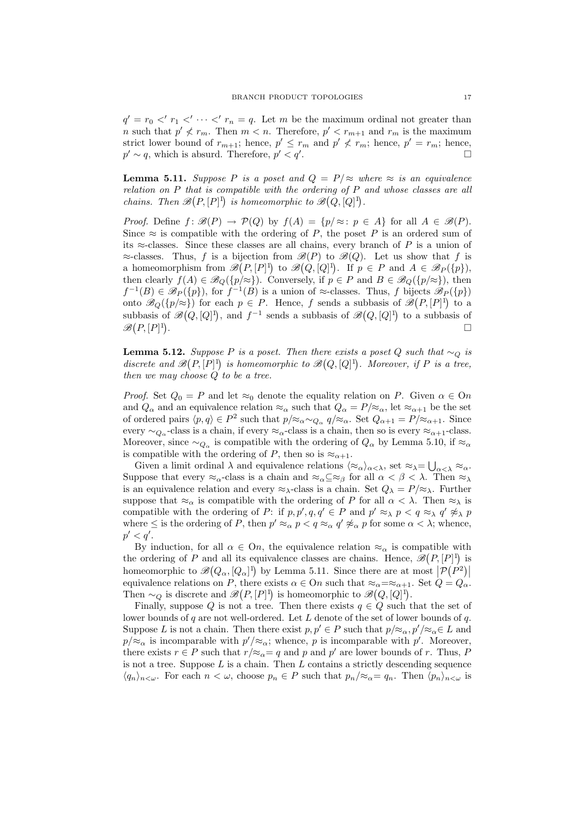$q' = r_0$  <'  $r_1$  <'  $\cdots$  <'  $r_n = q$ . Let m be the maximum ordinal not greater than *n* such that  $p' \nless r_m$ . Then  $m < n$ . Therefore,  $p' < r_{m+1}$  and  $r_m$  is the maximum strict lower bound of  $r_{m+1}$ ; hence,  $p' \leq r_m$  and  $p' \nless r_m$ ; hence,  $p' = r_m$ ; hence,  $p' \sim q$ , which is absurd. Therefore,  $p' < q'$ . The contract of the contract of  $\Box$ 

**Lemma 5.11.** Suppose P is a poset and  $Q = P/\approx$  where  $\approx$  is an equivalence relation on P that is compatible with the ordering of P and whose classes are all *chains.* Then  $\mathscr{B}(P, [P]^1)$  is homeomorphic to  $\mathscr{B}(Q, [Q]^1)$ .

*Proof.* Define  $f: \mathcal{B}(P) \to \mathcal{P}(Q)$  by  $f(A) = \{p/\approx: p \in A\}$  for all  $A \in \mathcal{B}(P)$ . Since  $\approx$  is compatible with the ordering of P, the poset P is an ordered sum of its  $\approx$ -classes. Since these classes are all chains, every branch of P is a union of  $\approx$ -classes. Thus, f is a bijection from  $\mathcal{B}(P)$  to  $\mathcal{B}(Q)$ . Let us show that f is a homeomorphism from  $\mathscr{B}(P,[P]^1)$  to  $\mathscr{B}(Q,[Q]^1)$ . If  $p \in P$  and  $A \in \mathscr{B}_P(\{p\}),$ then clearly  $f(A) \in \mathscr{B}_{Q}(\{p/\approx\})$ . Conversely, if  $p \in P$  and  $B \in \mathscr{B}_{Q}(\{p/\approx\})$ , then  $f^{-1}(B) \in \mathscr{B}_P(\{p\}),$  for  $f^{-1}(B)$  is a union of ≈-classes. Thus, f bijects  $\mathscr{B}_P(\{p\})$ onto  $\mathscr{B}_Q(\{p/\approx\})$  for each  $p \in P$ . Hence, f sends a subbasis of  $\mathscr{B}(P,[P]^1)$  to a subbasis of  $\mathscr{B}(Q,[Q]^1)$ , and  $f^{-1}$  sends a subbasis of  $\mathscr{B}(Q,[Q]^1)$  to a subbasis of  $\mathscr{B}(P,[P]^1)$ . The contract of the contract of the contract of the contract of  $\Box$ 

**Lemma 5.12.** Suppose P is a poset. Then there exists a poset Q such that ∼ $_Q$  is discrete and  $\mathscr{B}(P, [P]^1)$  is homeomorphic to  $\mathscr{B}(Q, [Q]^1)$ . Moreover, if P is a tree, then we may choose Q to be a tree.

*Proof.* Set  $Q_0 = P$  and let  $\approx_0$  denote the equality relation on P. Given  $\alpha \in \Omega$ and  $Q_{\alpha}$  and an equivalence relation  $\approx_{\alpha}$  such that  $Q_{\alpha} = P/\approx_{\alpha}$ , let  $\approx_{\alpha+1}$  be the set of ordered pairs  $\langle p, q \rangle \in P^2$  such that  $p/\approx_{\alpha} \sim_{Q_{\alpha}} q/\approx_{\alpha}$ . Set  $Q_{\alpha+1} = P/\approx_{\alpha+1}$ . Since every  $\sim_{Q_\alpha}$ -class is a chain, if every  $\approx_\alpha$ -class is a chain, then so is every  $\approx_{\alpha+1}$ -class. Moreover, since  $\sim_{Q_\alpha}$  is compatible with the ordering of  $Q_\alpha$  by Lemma 5.10, if  $\approx_\alpha$ is compatible with the ordering of P, then so is  $\approx_{\alpha+1}$ .

Given a limit ordinal  $\lambda$  and equivalence relations  $\langle \approx_{\alpha} \rangle_{\alpha < \lambda}$ , set  $\approx_{\lambda} = \bigcup_{\alpha < \lambda} \approx_{\alpha}$ . Suppose that every  $\approx_{\alpha}$ -class is a chain and  $\approx_{\alpha} \subseteq \approx_{\beta}$  for all  $\alpha < \beta < \lambda$ . Then  $\approx_{\lambda}$ is an equivalence relation and every  $\approx_{\lambda}$ -class is a chain. Set  $Q_{\lambda} = P/\approx_{\lambda}$ . Further suppose that  $\approx_{\alpha}$  is compatible with the ordering of P for all  $\alpha < \lambda$ . Then  $\approx_{\lambda}$  is compatible with the ordering of P: if  $p, p', q, q' \in P$  and  $p' \approx_{\lambda} p < q \approx_{\lambda} q' \not\approx_{\lambda} p$ where  $\leq$  is the ordering of P, then  $p' \approx_{\alpha} p < q \approx_{\alpha} q' \not\approx_{\alpha} p$  for some  $\alpha < \lambda$ ; whence,  $p' < q'.$ 

By induction, for all  $\alpha \in On$ , the equivalence relation  $\approx_{\alpha}$  is compatible with the ordering of P and all its equivalence classes are chains. Hence,  $\mathscr{B}(P,[P]^1)$  is homeomorphic to  $\mathscr{B}(Q_\alpha,[Q_\alpha]^1)$  by Lemma 5.11. Since there are at most  $|\mathcal{P}(P^2)|$ equivalence relations on P, there exists  $\alpha \in \Omega$  such that  $\approx_{\alpha} = \approx_{\alpha+1}$ . Set  $Q = Q_{\alpha}$ . Then  $\sim_Q$  is discrete and  $\mathscr{B}(P,[P]^1)$  is homeomorphic to  $\mathscr{B}(Q,[Q]^1)$ .

Finally, suppose Q is not a tree. Then there exists  $q \in Q$  such that the set of lower bounds of  $q$  are not well-ordered. Let  $L$  denote of the set of lower bounds of  $q$ . Suppose L is not a chain. Then there exist  $p, p' \in P$  such that  $p/\approx_\alpha p'/\approx_\alpha E$  and  $p/\approx_\alpha$  is incomparable with  $p'/\approx_\alpha$ ; whence, p is incomparable with p'. Moreover, there exists  $r \in P$  such that  $r/\approx_{\alpha} = q$  and p and p' are lower bounds of r. Thus, P is not a tree. Suppose  $L$  is a chain. Then  $L$  contains a strictly descending sequence  $\langle q_n \rangle_{n \leq \omega}$ . For each  $n < \omega$ , choose  $p_n \in P$  such that  $p_n / \approx_{\alpha} = q_n$ . Then  $\langle p_n \rangle_{n \leq \omega}$  is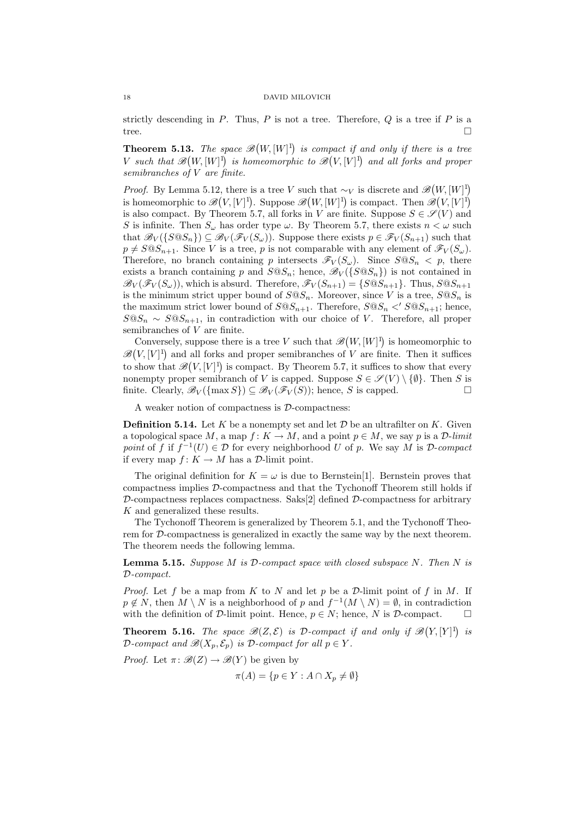strictly descending in  $P$ . Thus,  $P$  is not a tree. Therefore,  $Q$  is a tree if  $P$  is a tree.  $\Box$ 

Theorem 5.13. The space  $\mathscr B$ ¡  $W, [W]^{1}$ **3.** The space  $\mathscr{B}(W,[W]^1)$  is compact if and only if there is a tree V such that  $\mathscr{B}(W,[W]^1)$  is homeomorphic to  $\mathscr{B}(V,[V]^1)$  and all forks and proper semibranches of V are finite.

*Proof.* By Lemma 5.12, there is a tree V such that  $\sim_V$  is discrete and  $\mathscr{B}$ ¡  $W, [W]^{1}$ is homeomorphic to  $\mathscr{B}(V,[V]^1)$ . Suppose  $\mathscr{B}(W,[W]^1)$  is compact. Then  $\mathscr{B}(V,[V]^1)$  $\zeta$ , there is a tree v such that  $\sim_V$  is discrete and  $\mathcal{D}(W, [W])$ is also compact. By Theorem 5.7, all forks in V are finite. Suppose  $S \in \mathscr{S}(V)$  and S is infinite. Then  $S_{\omega}$  has order type  $\omega$ . By Theorem 5.7, there exists  $n < \omega$  such that  $\mathscr{B}_V(\{S \t\mathscr{A}_S\}) \subseteq \mathscr{B}_V(\mathscr{F}_V(S_\omega))$ . Suppose there exists  $p \in \mathscr{F}_V(S_{n+1})$  such that  $p \neq S \t{S} \t{S}_{n+1}$ . Since V is a tree, p is not comparable with any element of  $\mathscr{F}_V(S_\omega)$ . Therefore, no branch containing p intersects  $\mathscr{F}_V(S_\omega)$ . Since  $S \otimes S_n < p$ , there exists a branch containing p and  $S \mathbb{Q} S_n$ ; hence,  $\mathcal{B}_V({S \mathbb{Q} S_n})$  is not contained in  $\mathscr{B}_{V}(\mathscr{F}_{V}(S_{\omega}))$ , which is absurd. Therefore,  $\mathscr{F}_{V}(S_{n+1}) = \{S \otimes S_{n+1}\}\$ . Thus,  $S \otimes S_{n+1}$ is the minimum strict upper bound of  $S@S_n$ . Moreover, since V is a tree,  $S@S_n$  is the maximum strict lower bound of  $S@S_{n+1}$ . Therefore,  $S@S_n <' S@S_{n+1}$ ; hence,  $S@S_n \sim S@S_{n+1}$ , in contradiction with our choice of V. Therefore, all proper semibranches of V are finite. ¡

Conversely, suppose there is a tree V such that  $\mathscr B$  $W, [W]^{1}$ Conversely, suppose there is a tree V such that  $\mathscr{B}(W,[W]^1)$  is homeomorphic to  $\mathscr{B}(V,[V]^1)$  and all forks and proper semibranches of V are finite. Then it suffices to show that  $\mathscr{B}(V,[V]^1)$  is compact. By Theorem 5.7, it suffices to show that every nonempty proper semibranch of V is capped. Suppose  $S \in \mathscr{S}(V) \setminus \{\emptyset\}$ . Then S is finite. Clearly,  $\mathscr{B}_V(\{\max S\}) \subset \mathscr{B}_V(\mathscr{F}_V(S))$ ; hence, S is capped.

A weaker notion of compactness is D-compactness:

**Definition 5.14.** Let K be a nonempty set and let  $\mathcal{D}$  be an ultrafilter on K. Given a topological space M, a map  $f: K \to M$ , and a point  $p \in M$ , we say p is a D-limit point of f if  $f^{-1}(U) \in \mathcal{D}$  for every neighborhood U of p. We say M is  $\mathcal{D}$ -compact if every map  $f: K \to M$  has a D-limit point.

The original definition for  $K = \omega$  is due to Bernstein[1]. Bernstein proves that compactness implies D-compactness and that the Tychonoff Theorem still holds if  $\mathcal{D}$ -compactness replaces compactness. Saks[2] defined  $\mathcal{D}$ -compactness for arbitrary K and generalized these results.

The Tychonoff Theorem is generalized by Theorem 5.1, and the Tychonoff Theorem for D-compactness is generalized in exactly the same way by the next theorem. The theorem needs the following lemma.

**Lemma 5.15.** Suppose M is D-compact space with closed subspace N. Then N is D-compact.

*Proof.* Let f be a map from K to N and let p be a D-limit point of f in M. If  $p \notin N$ , then  $M \setminus N$  is a neighborhood of p and  $f^{-1}(M \setminus N) = \emptyset$ , in contradiction with the definition of  $\mathcal{D}$ -limit point. Hence,  $p \in N$ ; hence, N is  $\mathcal{D}$ -compact.  $\Box$ 

**Theorem 5.16.** The space  $\mathscr{B}(Z,\mathcal{E})$  is D-compact if and only if  $\mathscr{B}$ ¡  $Y, [Y]^{1}$ is D-compact and  $\mathscr{B}(X_p, \mathcal{E}_p)$  is D-compact for all  $p \in Y$ .

*Proof.* Let  $\pi: \mathcal{B}(Z) \to \mathcal{B}(Y)$  be given by

$$
\pi(A) = \{ p \in Y : A \cap X_p \neq \emptyset \}
$$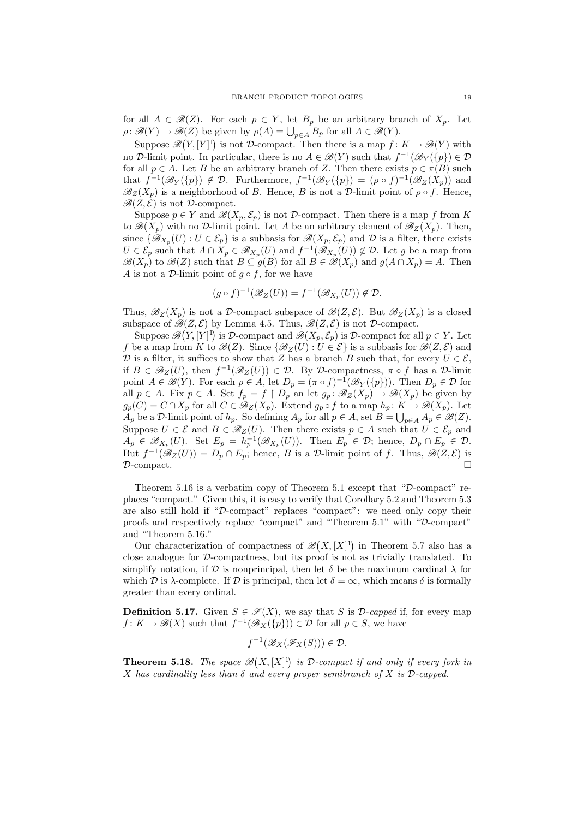for all  $A \in \mathcal{B}(Z)$ . For each  $p \in Y$ , let  $B_p$  be an arbitrary branch of  $X_p$ . Let for an  $A \in \mathcal{B}(Z)$ . For each  $p \in T$ , let  $B_p$  be an arbitrary ora  $\rho: \mathcal{B}(Y) \to \mathcal{B}(Z)$  be given by  $\rho(A) = \bigcup_{p \in A} B_p$  for all  $A \in \mathcal{B}(Y)$ .

Suppose  $\mathscr{B}(Y,[Y]^1)$  is not D-compact. Then there is a map  $f: K \to \mathscr{B}(Y)$  with no D-limit point. In particular, there is no  $A \in \mathscr{B}(Y)$  such that  $f^{-1}(\mathscr{B}_Y({p})) \in \mathcal{D}$ for all  $p \in A$ . Let B be an arbitrary branch of Z. Then there exists  $p \in \pi(B)$  such that  $f^{-1}(\mathscr{B}_Y({p})) \notin \mathcal{D}$ . Furthermore,  $f^{-1}(\mathscr{B}_Y({p})) = (\rho \circ f)^{-1}(\mathscr{B}_Z(X_p))$  and  $\mathscr{B}_Z(X_p)$  is a neighborhood of B. Hence, B is not a D-limit point of  $\rho \circ f$ . Hence,  $\mathscr{B}(Z,\tilde{\mathcal{E}})$  is not D-compact.

Suppose  $p \in Y$  and  $\mathscr{B}(X_p, \mathcal{E}_p)$  is not D-compact. Then there is a map f from K to  $\mathscr{B}(X_p)$  with no D-limit point. Let A be an arbitrary element of  $\mathscr{B}_Z(X_p)$ . Then, since  $\{\mathscr{B}_{X_p}(U): U \in \mathcal{E}_p\}$  is a subbasis for  $\mathscr{B}(X_p, \mathcal{E}_p)$  and  $\mathcal D$  is a filter, there exists  $U \in \mathcal{E}_p$  such that  $A \cap X_p \in \mathscr{B}_{X_p}(U)$  and  $f^{-1}(\mathscr{B}_{X_p}(U)) \notin \mathcal{D}$ . Let g be a map from  $\mathscr{B}(X_p)$  to  $\mathscr{B}(Z)$  such that  $B \subseteq g(B)$  for all  $B \in \mathscr{B}(X_p)$  and  $g(A \cap X_p) = A$ . Then A is not a D-limit point of  $g \circ f$ , for we have

$$
(g \circ f)^{-1}(\mathscr{B}_Z(U)) = f^{-1}(\mathscr{B}_{X_p}(U)) \notin \mathcal{D}.
$$

Thus,  $\mathscr{B}_Z(X_p)$  is not a D-compact subspace of  $\mathscr{B}(Z,\mathcal{E})$ . But  $\mathscr{B}_Z(X_p)$  is a closed subspace of  $\mathscr{B}(Z,\mathcal{E})$  by Lemma 4.5. Thus,  $\mathscr{B}(Z,\mathcal{E})$  is not D-compact.

Suppose  $\mathscr{B}(Y,[Y]^1)$  is D-compact and  $\mathscr{B}(X_p,\mathcal{E}_p)$  is D-compact for all  $p \in Y$ . Let f be a map from K to  $\mathscr{B}(Z)$ . Since  $\{\mathscr{B}_Z(U): U \in \mathcal{E}\}\)$  is a subbasis for  $\mathscr{B}(Z,\mathcal{E})$  and D is a filter, it suffices to show that Z has a branch B such that, for every  $U \in \mathcal{E}$ , if  $B \in \mathscr{B}_Z(U)$ , then  $f^{-1}(\mathscr{B}_Z(U)) \in \mathcal{D}$ . By  $\mathcal{D}$ -compactness,  $\pi \circ f$  has a  $\mathcal{D}$ -limit point  $A \in \mathscr{B}(Y)$ . For each  $p \in A$ , let  $D_p = (\pi \circ f)^{-1}(\mathscr{B}_Y(\{p\}))$ . Then  $D_p \in \mathcal{D}$  for all  $p \in A$ . Fix  $p \in A$ . Set  $f_p = f \upharpoonright D_p$  an let  $g_p : \mathscr{B}_Z(X_p) \to \mathscr{B}(X_p)$  be given by  $g_p(C) = C \cap X_p$  for all  $C \in \mathscr{B}_Z(X_p)$ . Extend  $g_p \circ f$  to a map  $h_p: K \to \mathscr{B}(X_p)$ . Let  $A_p$  be a D-limit point of  $h_p$ . So defining  $A_p$  for all  $p \in A$ , set  $B = \bigcup_{p \in A} A_p \in \mathcal{B}(Z)$ . Suppose  $U \in \mathcal{E}$  and  $B \in \mathscr{B}_Z(U)$ . Then there exists  $p \in A$  such that  $U \in \mathcal{E}_p$  and  $A_p \in \mathscr{B}_{X_p}(U)$ . Set  $E_p = h_p^{-1}(\mathscr{B}_{X_p}(U))$ . Then  $E_p \in \mathcal{D}$ ; hence,  $D_p \cap E_p \in \mathcal{D}$ . But  $f^{-1}(\mathscr{B}_Z(U)) = D_p \cap E_p$ ; hence, B is a D-limit point of f. Thus,  $\mathscr{B}(Z,\mathcal{E})$  is  $\mathcal{D}\text{-compact.}$ 

Theorem 5.16 is a verbatim copy of Theorem 5.1 except that "D-compact" replaces "compact." Given this, it is easy to verify that Corollary 5.2 and Theorem 5.3 are also still hold if "D-compact" replaces "compact": we need only copy their proofs and respectively replace "compact" and "Theorem 5.1" with "D-compact" and "Theorem 5.16." ¡

Our characterization of compactness of  $\mathscr B$  $X, [X]^{1}$ in Theorem 5.7 also has a close analogue for D-compactness, but its proof is not as trivially translated. To simplify notation, if D is nonprincipal, then let  $\delta$  be the maximum cardinal  $\lambda$  for which D is  $\lambda$ -complete. If D is principal, then let  $\delta = \infty$ , which means  $\delta$  is formally greater than every ordinal.

**Definition 5.17.** Given  $S \in \mathcal{S}(X)$ , we say that S is D-capped if, for every map  $f: K \to \mathscr{B}(X)$  such that  $f^{-1}(\mathscr{B}_{X}(\{p\})) \in \mathcal{D}$  for all  $p \in S$ , we have

$$
f^{-1}(\mathscr{B}_X(\mathscr{F}_X(S))) \in \mathcal{D}.
$$

Theorem 5.18. The space  $\mathscr B$ ¡  $X, [X]^{1}$ is D-compact if and only if every fork in X has cardinality less than  $\delta$  and every proper semibranch of X is D-capped.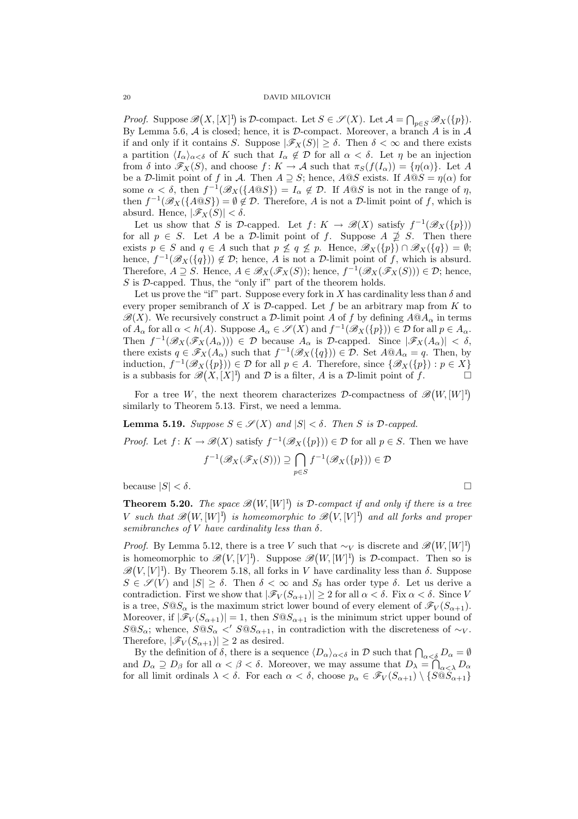Proof. Suppose  $\mathscr B$ ¡  $X, [X]^{1}$ is D-compact. Let  $S \in \mathscr{S}(X)$ . Let  $\mathcal{A} = \bigcap_{p \in S} \mathscr{B}_X(\{p\})$ . By Lemma 5.6,  $A$  is closed; hence, it is  $D$ -compact. Moreover, a branch  $A$  is in  $A$ if and only if it contains S. Suppose  $|\mathscr{F}_X(S)| \geq \delta$ . Then  $\delta < \infty$  and there exists a partition  $\langle I_{\alpha}\rangle_{\alpha<\delta}$  of K such that  $I_{\alpha}\notin\mathcal{D}$  for all  $\alpha<\delta$ . Let  $\eta$  be an injection from  $\delta$  into  $\mathscr{F}_X(S)$ , and choose  $f: K \to \mathcal{A}$  such that  $\pi_S(f(I_\alpha)) = \{\eta(\alpha)\}\$ . Let A be a D-limit point of f in A. Then  $A \supset S$ ; hence,  $A \circledcirc S$  exists. If  $A \circledcirc S = \eta(\alpha)$  for some  $\alpha < \delta$ , then  $f^{-1}(\mathscr{B}_{X}(\lbrace A \mathbb{Q}S \rbrace)) = I_{\alpha} \notin \mathcal{D}$ . If  $A \mathbb{Q}S$  is not in the range of  $\eta$ , then  $f^{-1}(\mathscr{B}_{X}(\lbrace A@S\rbrace) = \emptyset \notin \mathcal{D}$ . Therefore, A is not a  $\mathcal{D}$ -limit point of f, which is absurd. Hence,  $|\mathscr{F}_X(S)| < \delta$ .

Let us show that S is D-capped. Let  $f: K \to \mathcal{B}(X)$  satisfy  $f^{-1}(\mathcal{B}_X({p}))$ for all  $p \in S$ . Let A be a D-limit point of f. Suppose  $A \not\supseteq S$ . Then there exists  $p \in S$  and  $q \in A$  such that  $p \nleq q \nleq p$ . Hence,  $\mathscr{B}_X(\{p\}) \cap \mathscr{B}_X(\{q\}) = \emptyset$ ; hence,  $f^{-1}(\mathscr{B}_{X}(\{q\})) \notin \mathcal{D}$ ; hence, A is not a  $\mathcal{D}$ -limit point of f, which is absurd. Therefore,  $A \supseteq S$ . Hence,  $A \in \mathscr{B}_X(\mathscr{F}_X(S))$ ; hence,  $f^{-1}(\mathscr{B}_X(\mathscr{F}_X(S))) \in \mathcal{D}$ ; hence,  $S$  is  $D$ -capped. Thus, the "only if" part of the theorem holds.

Let us prove the "if" part. Suppose every fork in X has cardinality less than  $\delta$  and every proper semibranch of  $X$  is  $D$ -capped. Let  $f$  be an arbitrary map from  $K$  to  $\mathscr{B}(X)$ . We recursively construct a D-limit point A of f by defining  $A@A_\alpha$  in terms of  $A_{\alpha}$  for all  $\alpha < h(A)$ . Suppose  $A_{\alpha} \in \mathscr{S}(X)$  and  $f^{-1}(\mathscr{B}_{X}(\{p\})) \in \mathcal{D}$  for all  $p \in A_{\alpha}$ . Then  $f^{-1}(\mathscr{B}_X(\mathscr{F}_X(A_\alpha))) \in \mathcal{D}$  because  $A_\alpha$  is  $\mathcal{D}\text{-capped}$ . Since  $|\mathscr{F}_X(A_\alpha)| < \delta$ , there exists  $q \in \mathscr{F}_X(A_\alpha)$  such that  $f^{-1}(\mathscr{B}_X(\lbrace q \rbrace)) \in \mathcal{D}$ . Set  $A \otimes A_\alpha = q$ . Then, by induction,  $f^{-1}(\mathscr{B}_X(\{p\})) \in \mathcal{D}$  for all  $p \in A$ . Therefore, since  $\{\mathscr{B}_X(\{p\}) : p \in X\}$ is a subbasis for  $\mathscr{B}(X,[X]^1)$  and  $\mathcal D$  is a filter, A is a  $\mathcal D$ -limit point of f.

For a tree W, the next theorem characterizes  $\mathcal{D}$ -compactness of  $\mathscr{B}$ ¡  $W, [W]^{1}$ similarly to Theorem 5.13. First, we need a lemma.

**Lemma 5.19.** Suppose  $S \in \mathcal{S}(X)$  and  $|S| < \delta$ . Then S is D-capped.

*Proof.* Let  $f: K \to \mathscr{B}(X)$  satisfy  $f^{-1}(\mathscr{B}_X({p})) \in \mathcal{D}$  for all  $p \in S$ . Then we have  $\mathbb{L}$ 

$$
f^{-1}(\mathscr{B}_X(\mathscr{F}_X(S))) \supseteq \bigcap_{p \in S} f^{-1}(\mathscr{B}_X(\{p\})) \in \mathcal{D}
$$

because  $|S| < \delta$ .

**Theorem 5.20.** The space  $\mathscr{B}$ ¡  $W, [W]^{1}$ **i.** The space  $\mathscr{B}(W,[W]^1)$  is D-compact if and only if there is a tree V such that  $\mathscr{B}(W,[W]^1)$  is homeomorphic to  $\mathscr{B}(V,[V]^1)$  and all forks and proper semibranches of V have cardinality less than  $\delta$ .

*Proof.* By Lemma 5.12, there is a tree V such that  $\sim_V$  is discrete and  $\mathscr{B}$ ¡  $W, [W]^{1}$ is homeomorphic to  $\mathscr{B}(V,[V]^1)$ . Suppose  $\mathscr{B}(W,[W]^1)$  is D-compact. Then so is there is a tree v such that  $\sim_V$  $\mathscr{B}(V,[V]^1)$ . By Theorem 5.18, all forks in V have cardinality less than  $\delta$ . Suppose  $S \in \mathscr{S}(V)$  and  $|S| \geq \delta$ . Then  $\delta < \infty$  and  $S_{\delta}$  has order type  $\delta$ . Let us derive a contradiction. First we show that  $|\mathscr{F}_V(S_{\alpha+1})| \geq 2$  for all  $\alpha < \delta$ . Fix  $\alpha < \delta$ . Since V is a tree,  $S \tQ S_{\alpha}$  is the maximum strict lower bound of every element of  $\mathscr{F}_V(S_{\alpha+1})$ . Moreover, if  $|\mathcal{F}_V(S_{\alpha+1})|=1$ , then  $S \otimes S_{\alpha+1}$  is the minimum strict upper bound of  $S@S_{\alpha}$ ; whence,  $S@S_{\alpha} <' S@S_{\alpha+1}$ , in contradiction with the discreteness of ∼ $_V$ . Therefore,  $|\mathscr{F}_V(S_{\alpha+1})| \geq 2$  as desired.

By the definition of  $\delta$ , there is a sequence  $\langle D_{\alpha} \rangle_{\alpha < \delta}$  in D such that  $\bigcap_{\alpha < \delta} D_{\alpha} = \emptyset$ and  $D_{\alpha} \supseteq D_{\beta}$  for all  $\alpha < \beta < \delta$ . Moreover, we may assume that  $D_{\lambda} = \bigcap_{\alpha < \lambda} D_{\alpha}$ for all limit ordinals  $\lambda < \delta$ . For each  $\alpha < \delta$ , choose  $p_{\alpha} \in \mathscr{F}_V(S_{\alpha+1}) \setminus \{S \overset{\sim}{\omega} S_{\alpha+1}\}\$